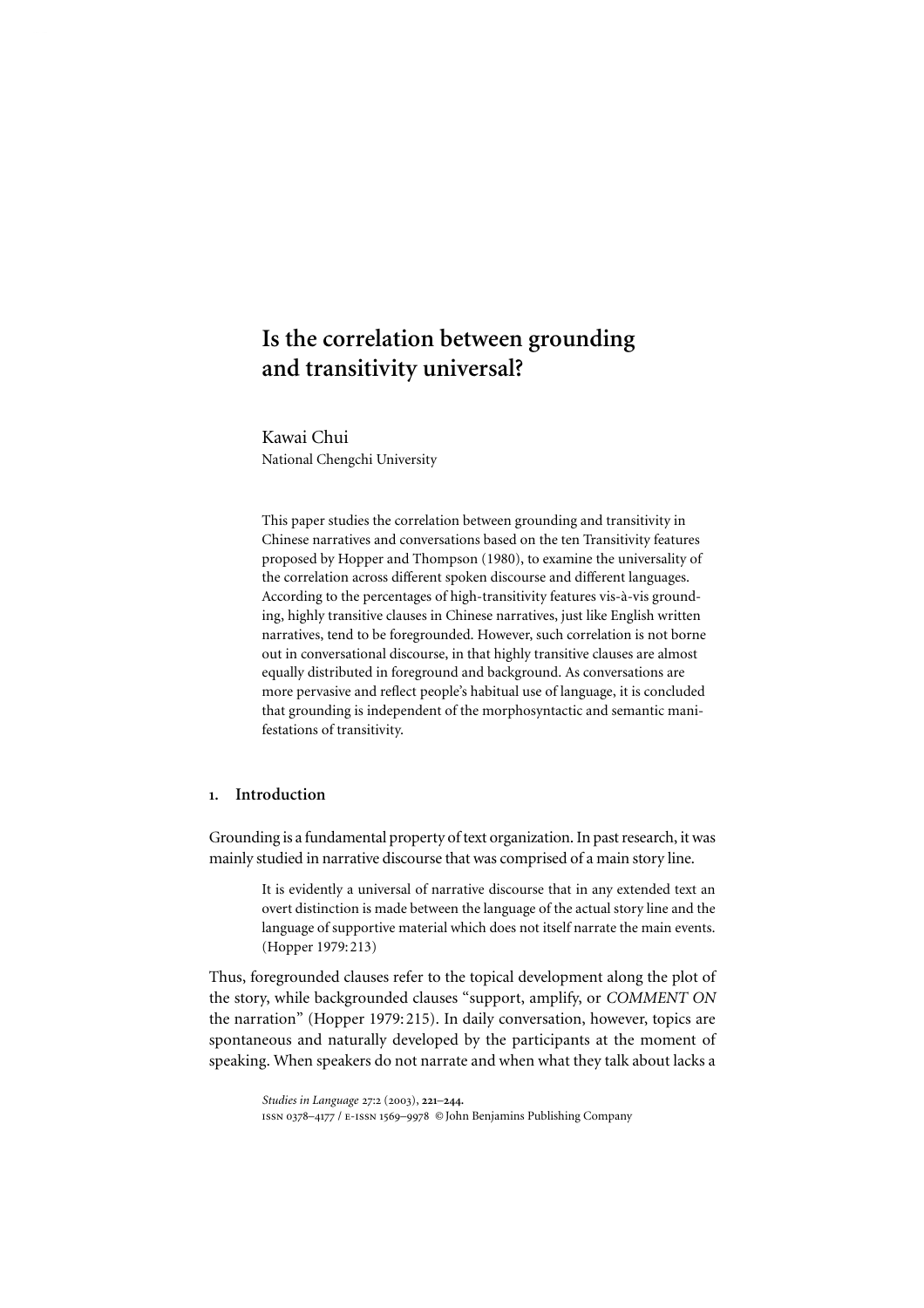# Is the correlation between grounding and transitivity universal?

Kawai Chui National Chengchi University

This paper studies the correlation between grounding and transitivity in Chinese narratives and conversations based on the ten Transitivity features proposed by Hopper and Thompson (1980), to examine the universality of the correlation across different spoken discourse and different languages. According to the percentages of high-transitivity features vis-à-vis grounding, highly transitive clauses in Chinese narratives, just like English written narratives, tend to be foregrounded. However, such correlation is not borne out in conversational discourse, in that highly transitive clauses are almost equally distributed in foreground and background. As conversations are more pervasive and reflect people's habitual use of language, it is concluded that grounding is independent of the morphosyntactic and semantic manifestations of transitivity.

### 1. Introduction

Grounding is a fundamental property of text organization. In past research, it was mainly studied in narrative discourse that was comprised of a main story line.

> It is evidently a universal of narrative discourse that in any extended text an overt distinction is made between the language of the actual story line and the language of supportive material which does not itself narrate the main events. (Hopper 1979:213)

Thus, foregrounded clauses refer to the topical development along the plot of the story, while backgrounded clauses "support, amplify, or *COMMENT ON* the narration" (Hopper 1979:215). In daily conversation, however, topics are spontaneous and naturally developed by the participants at the moment of speaking. When speakers do not narrate and when what they talk about lacks a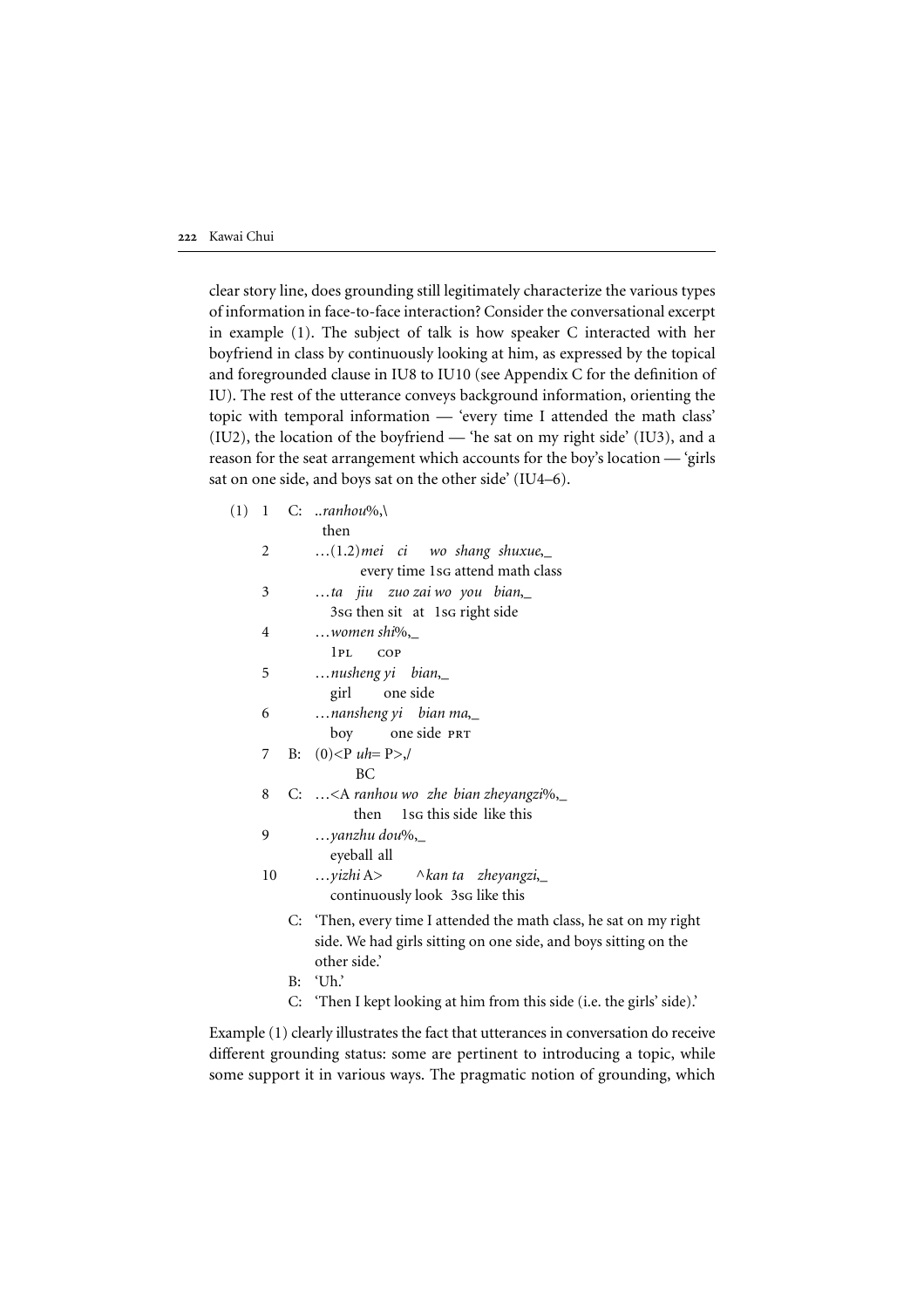clear story line, does grounding still legitimately characterize the various types of information in face-to-face interaction? Consider the conversational excerpt in example (1). The subject of talk is how speaker C interacted with her boyfriend in class by continuously looking at him, as expressed by the topical and foregrounded clause in IU8 to IU10 (see Appendix C for the definition of IU). The rest of the utterance conveys background information, orienting the topic with temporal information — 'every time I attended the math class' (IU2), the location of the boyfriend — 'he sat on my right side' (IU3), and a reason for the seat arrangement which accounts for the boy's location — 'girls sat on one side, and boys sat on the other side' (IU4–6).

| (1) 1 |    | $C:  ranhou\%, \lambda$                                                                     |
|-------|----|---------------------------------------------------------------------------------------------|
|       |    | then                                                                                        |
| 2     |    | $(1.2)$ mei ci wo shang shuxue,                                                             |
|       |    | every time 1sG attend math class                                                            |
| 3     |    | ta jiu zuo zai wo you bian,                                                                 |
|       |    | 3sG then sit at 1sG right side                                                              |
| 4     |    | $$ women shi%,                                                                              |
|       |    | 1PI.<br>COP                                                                                 |
| 5     |    | nusheng $yi$ bian,                                                                          |
|       |    | girl one side                                                                               |
| 6     |    | nansheng yi bian ma,                                                                        |
|       |    | boy one side PRT                                                                            |
| 7     |    | B: $(0)$ < P $uh = P$ >,/                                                                   |
| 8     |    | BC.                                                                                         |
|       |    | C: <a bian="" ranhou="" wo="" zhe="" zheyangzi%,<br="">1sq this side like this<br/>then</a> |
| 9     |    | $$ yanzhu dou $\%$ ,                                                                        |
|       |    | eyeball all                                                                                 |
| 10    |    | yizhi $A$ > $\wedge$ kan ta zheyangzi,                                                      |
|       |    | continuously look 3sq like this                                                             |
|       |    | C: 'Then, every time I attended the math class, he sat on my right                          |
|       |    | side. We had girls sitting on one side, and boys sitting on the                             |
|       |    | other side.'                                                                                |
|       | B: | 'Uh.                                                                                        |

C: 'Then I kept looking at him from this side (i.e. the girls' side).'

Example (1) clearly illustrates the fact that utterances in conversation do receive different grounding status: some are pertinent to introducing a topic, while some support it in various ways. The pragmatic notion of grounding, which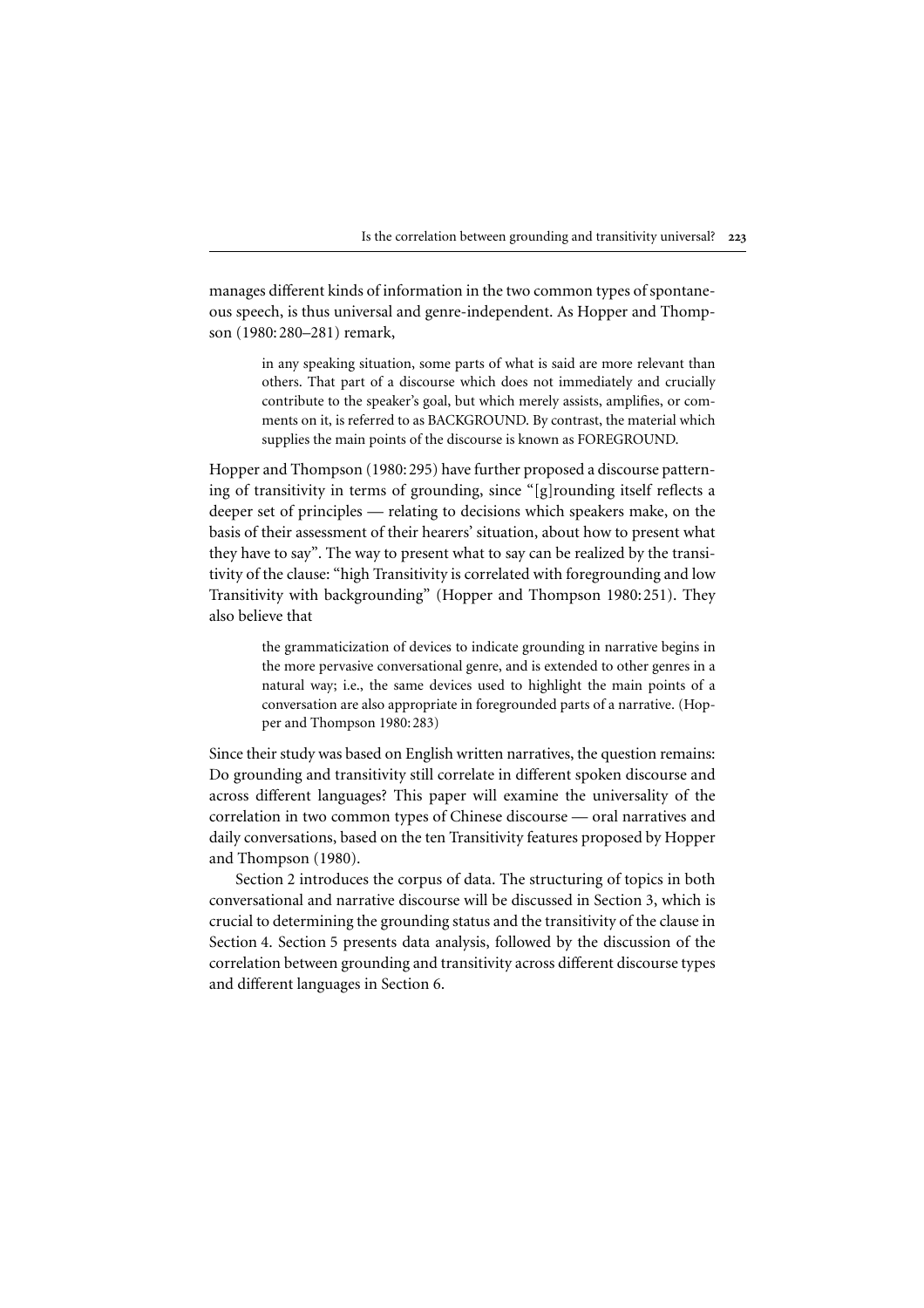manages different kinds of information in the two common types of spontaneous speech, is thus universal and genre-independent. As Hopper and Thomp son (1980:280–281) remark,

> in any speaking situation, some parts of what is said are more relevant than others. That part of a discourse which does not immediately and crucially contribute to the speaker's goal, but which merely assists, amplifies, or comments on it, is referred to as BACKGROUND. By contrast, the material which supplies the main points of the discourse is known as FOREGROUND.

Hopper and Thompson (1980:295) have further proposed a discourse pattern ing of transitivity in terms of grounding, since "[g]rounding itself reflects a deeper set of principles — relating to decisions which speakers make, on the basis of their assessment of their hearers' situation, about how to present what they have to say". The way to present what to say can be realized by the transitivity of the clause: "high Transitivity is correlated with foregrounding and low Transitivity with backgrounding" (Hopper and Thompson 1980:251). They also believe that

> the grammaticization of devices to indicate grounding in narrative begins in the more pervasive conversational genre, and is extended to other genres in a natural way; i.e., the same devices used to highlight the main points of a conversation are also appropriate in foregrounded parts of a narrative. (Hop per and Thompson 1980:283)

Since their study was based on English written narratives, the question remains: Do grounding and transitivity still correlate in different spoken discourse and across different languages? This paper will examine the universality of the correlation in two common types of Chinese discourse — oral narratives and daily conversations, based on the ten Transitivity features proposed by Hopper and Thompson (1980).

Section 2 introduces the corpus of data. The structuring of topics in both conversational and narrative discourse will be discussed in Section 3, which is crucial to determining the grounding status and the transitivity of the clause in Section 4. Section 5 presents data analysis, followed by the discussion of the correlation between grounding and transitivity across different discourse types and different languages in Section 6.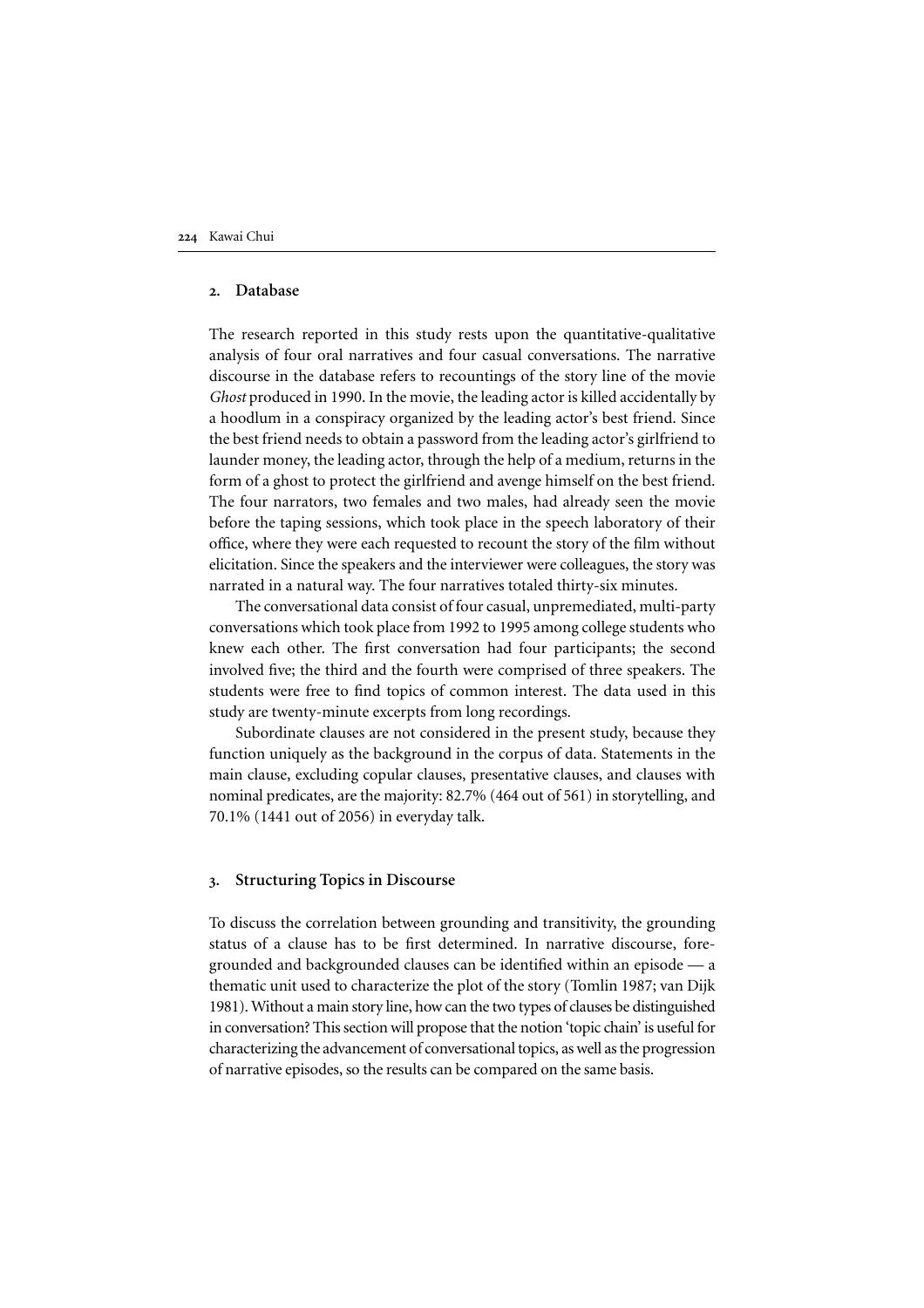#### 2. Database

The research reported in this study rests upon the quantitative-qualitative analysis of four oral narratives and four casual conversations. The narrative discourse in the database refers to recountings of the story line of the movie *Ghost* produced in 1990. In the movie, the leading actor is killed accidentally by a hoodlum in a conspiracy organized by the leading actor's best friend. Since the best friend needs to obtain a password from the leading actor's girlfriend to launder money, the leading actor, through the help of a medium, returns in the form of a ghost to protect the girlfriend and avenge himself on the best friend. The four narrators, two females and two males, had already seen the movie before the taping sessions, which took place in the speech laboratory of their office, where they were each requested to recount the story of the film without elicitation. Since the speakers and the interviewer were colleagues, the story was narrated in a natural way. The four narratives totaled thirty-six minutes.

The conversational data consist of four casual, unpremediated, multi-party conversations which took place from 1992 to 1995 among college students who knew each other. The first conversation had four participants; the second involved five; the third and the fourth were comprised of three speakers. The students were free to find topics of common interest. The data used in this study are twenty-minute excerpts from long recordings.

Subordinate clauses are not considered in the present study, because they function uniquely as the background in the corpus of data. Statements in the main clause, excluding copular clauses, presentative clauses, and clauses with nominal predicates, are the majority: 82.7% (464 out of 561) in storytelling, and 70.1% (1441 out of 2056) in everyday talk.

#### 3. Structuring Topics in Discourse

To discuss the correlation between grounding and transitivity, the grounding status of a clause has to be first determined. In narrative discourse, foregrounded and backgrounded clauses can be identified within an episode — a thematic unit used to characterize the plot of the story (Tomlin 1987; van Dijk 1981). Without a main story line, how can the two types of clauses be distinguished in conversation? This section will propose that the notion 'topic chain' is useful for characterizing the advancement of conversational topics, as well as the progression of narrative episodes, so the results can be compared on the same basis.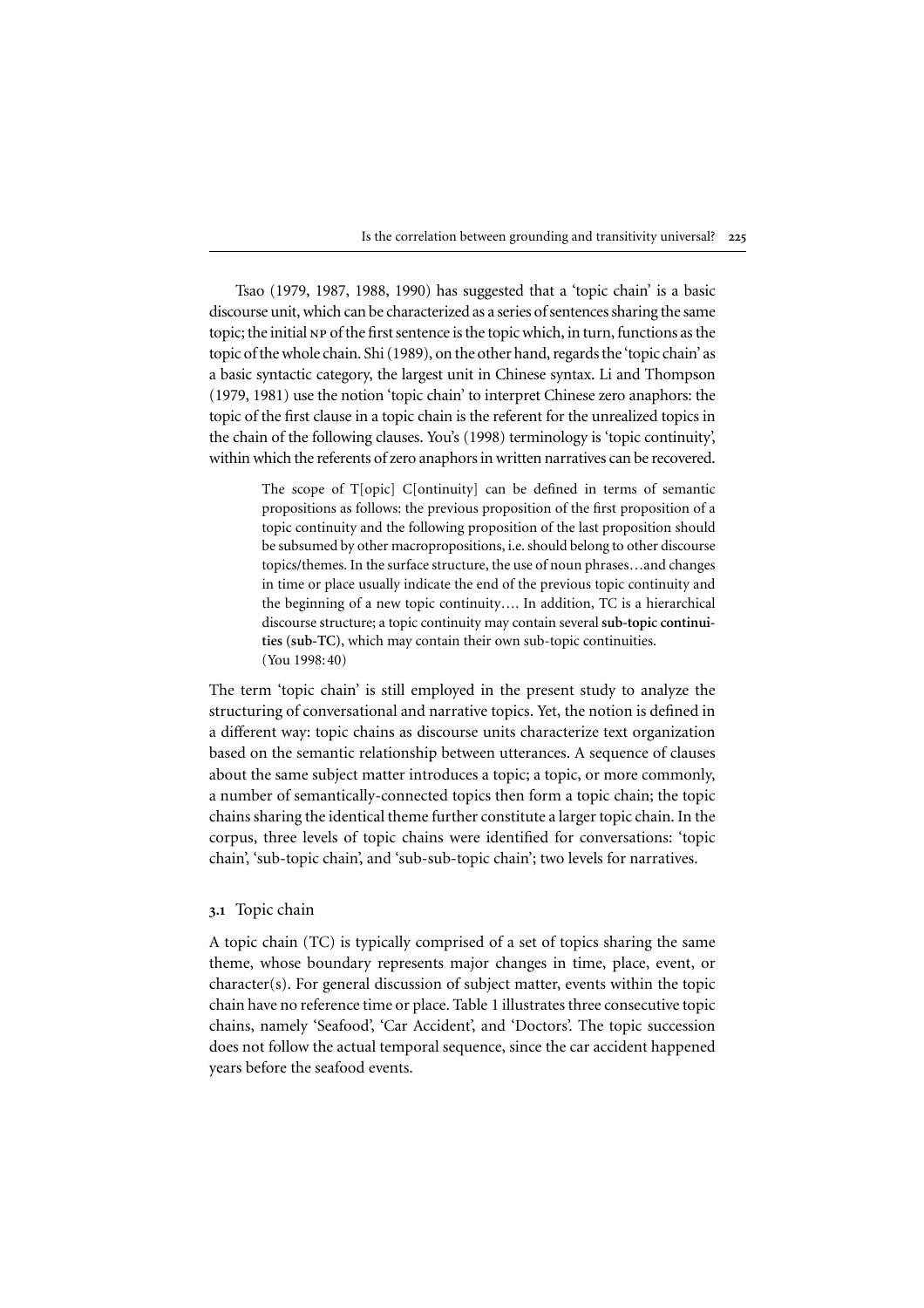Tsao (1979, 1987, 1988, 1990) has suggested that a 'topic chain' is a basic discourse unit, which can be characterized as a series of sentences sharing the same topic; the initial np of the first sentence is the topic which, in turn, functions as the topic of the whole chain. Shi (1989), on the other hand, regards the 'topic chain' as Is the correlation between grounding and transitivity universal?<br>
Tsao (1979, 1987, 1988, 1990) has suggested that a 'topic chain' is a basic<br>
discourse unit, which can be characterized as a series of sentences sharing the Is the correlation between grounding and transitivity universal?<br>
Tsao (1979, 1987, 1988, 1990) has suggested that a 'topic chain' is a basic<br>
discourse unit, which can be characterized as a series of sentences sharing the topic of the first clause in a topic chain is the referent for the unrealized topics in the chain of the following clauses. You's (1998) terminology is 'topic continuity', Is the correlation between grounding and transitivity universal?<br>
Tsao (1979, 1987, 1988, 1990) has suggested that a 'topic chain' is a basic<br>
discourse unit, which can be characterized as a series of sentences sharing the

> The scope of T[opic] C[ontinuity] can be defined in terms of semantic propositions as follows: the previous proposition of the first proposition of a topic continuity and the following proposition of the last proposition should be subsumed by other macropropositions, i.e. should belong to other discourse topics/themes. In the surface structure, the use of noun phrases…and changes in time or place usually indicate the end of the previous topic continuity and the beginning of a new topic continuity…. In addition, TC is a hierarchical discourse structure; a topic continuity may contain several sub-topic continuities (sub-TC), which may contain their own sub-topic continuities. (You 1998:40)

The term 'topic chain' is still employed in the present study to analyze the structuring of conversational and narrative topics. Yet, the notion is defined in a different way: topic chains as discourse units characterize text organization based on the semantic relationship between utterances. A sequence of clauses about the same subject matter introduces a topic; a topic, or more commonly, a number of semantically-connected topics then form a topic chain; the topic chains sharing the identical theme further constitute a larger topic chain. In the corpus, three levels of topic chains were identified for conversations: 'topic chain', 'sub-topic chain', and 'sub-sub-topic chain'; two levels for narratives.

## 3.1 Topic chain

A topic chain (TC) is typically comprised of a set of topics sharing the same theme, whose boundary represents major changes in time, place, event, or character(s). For general discussion of subject matter, events within the topic chain have no reference time or place. Table 1 illustrates three consecutive topic chains, namely 'Seafood', 'Car Accident', and 'Doctors'. The topic succession does not follow the actual temporal sequence, since the car accident happened years before the seafood events.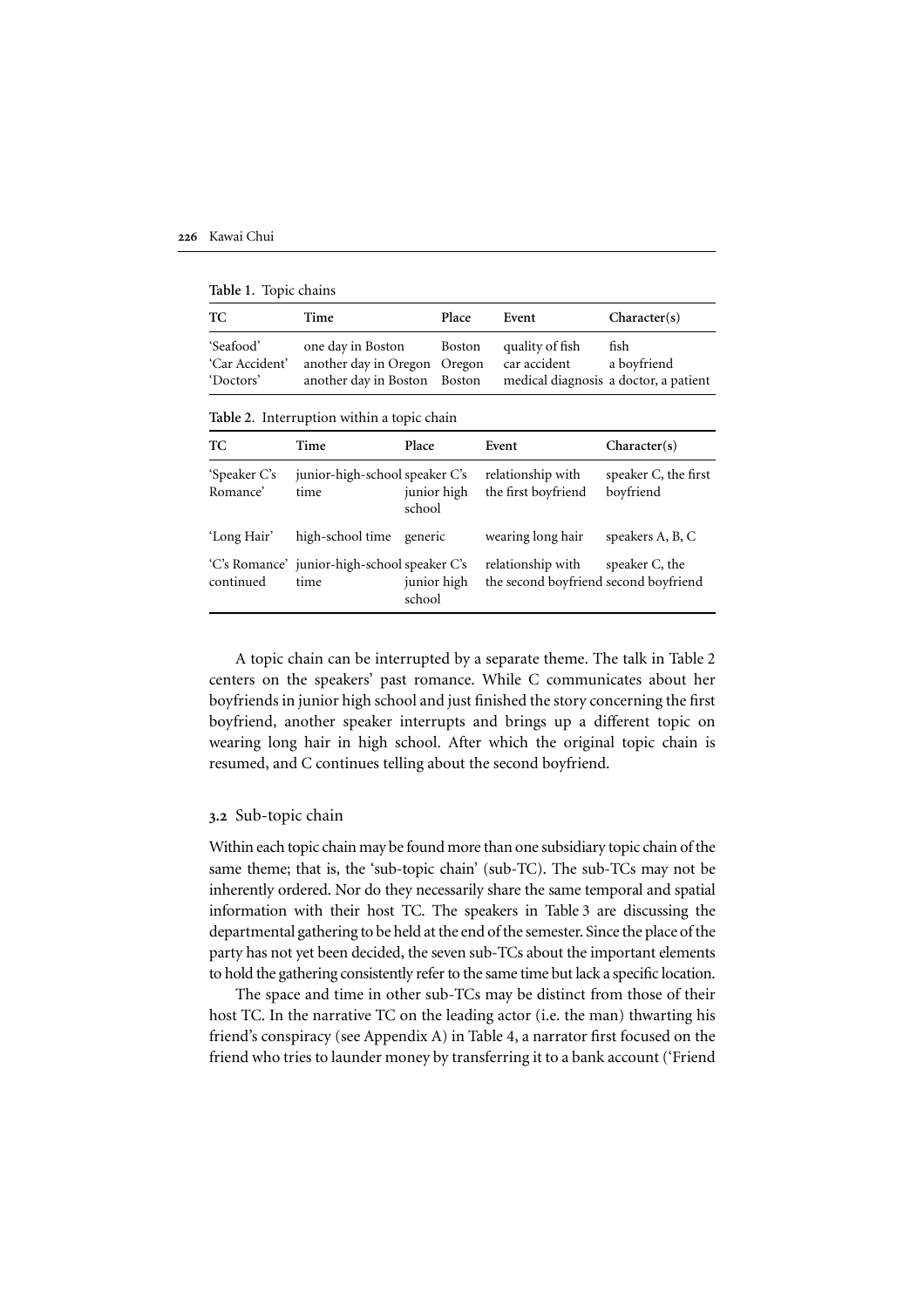| TC                                       | Time                                                                              | Place  | Event                           | Character(s)                                                 |
|------------------------------------------|-----------------------------------------------------------------------------------|--------|---------------------------------|--------------------------------------------------------------|
| 'Seafood'<br>'Car Accident'<br>'Doctors' | one day in Boston<br>another day in Oregon Oregon<br>another day in Boston Boston | Boston | quality of fish<br>car accident | fish<br>a boyfriend<br>medical diagnosis a doctor, a patient |

Table 1. Topic chains

| Table 2. Interruption within a topic chain |  |  |
|--------------------------------------------|--|--|
|                                            |  |  |

| TC.                      | Time                                                 | Place                 | Event                                                      | Character(s)                      |
|--------------------------|------------------------------------------------------|-----------------------|------------------------------------------------------------|-----------------------------------|
| 'Speaker C's<br>Romance' | junior-high-school speaker C's<br>time               | junior high<br>school | relationship with<br>the first boyfriend                   | speaker C, the first<br>boyfriend |
| 'Long Hair'              | high-school time                                     | generic               | wearing long hair                                          | speakers A, B, C                  |
| continued                | 'C's Romance' junior-high-school speaker C's<br>time | junior high<br>school | relationship with<br>the second boyfriend second boyfriend | speaker C, the                    |

A topic chain can be interrupted by a separate theme. The talk in Table 2 centers on the speakers' past romance. While C communicates about her boyfriends in junior high school and just finished the story concerning the first boyfriend, another speaker interrupts and brings up a different topic on wearing long hair in high school. After which the original topic chain is resumed, and C continues telling about the second boyfriend.

#### 3.2 Sub-topic chain

Within each topic chain may be found more than one subsidiary topic chain of the same theme; that is, the 'sub-topic chain' (sub-TC). The sub-TCs may not be inherently ordered. Nor do they necessarily share the same temporal and spatial information with their host TC. The speakers in Table 3 are discussing the departmental gathering to be held at the end of the semester. Since the place of the party has not yet been decided, the seven sub-TCs about the important elements to hold the gathering consistently refer to the same time but lack a specific location.

The space and time in other sub-TCs may be distinct from those of their host TC. In the narrative TC on the leading actor (i.e. the man) thwarting his friend's conspiracy (see Appendix A) in Table 4, a narrator first focused on the friend who tries to launder money by transferring it to a bank account ('Friend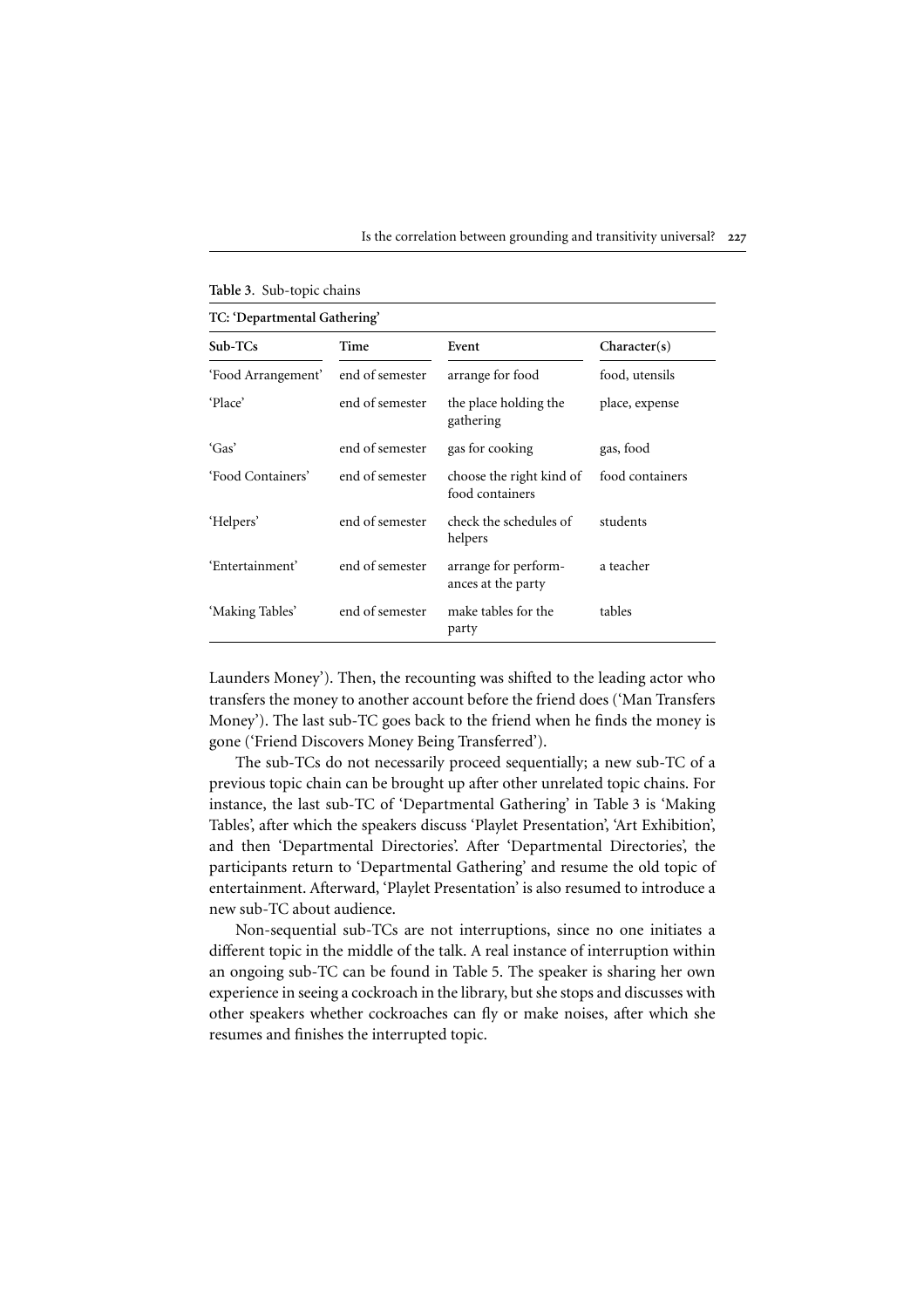| TC: 'Departmental Gathering' |                 |                                             |                 |  |  |
|------------------------------|-----------------|---------------------------------------------|-----------------|--|--|
| $Sub-TCs$                    | Time            | Event                                       | Character(s)    |  |  |
| 'Food Arrangement'           | end of semester | arrange for food                            | food, utensils  |  |  |
| 'Place'                      | end of semester | the place holding the<br>gathering          | place, expense  |  |  |
| 'Gas'                        | end of semester | gas for cooking                             | gas, food       |  |  |
| 'Food Containers'            | end of semester | choose the right kind of<br>food containers | food containers |  |  |
| 'Helpers'                    | end of semester | check the schedules of<br>helpers           | students        |  |  |
| 'Entertainment'              | end of semester | arrange for perform-<br>ances at the party  | a teacher       |  |  |
| 'Making Tables'              | end of semester | make tables for the<br>party                | tables          |  |  |

|  |  |  | Table 3. Sub-topic chains |  |
|--|--|--|---------------------------|--|
|--|--|--|---------------------------|--|

Launders Money'). Then, the recounting was shifted to the leading actor who transfers the money to another account before the friend does ('Man Transfers Money'). The last sub-TC goes back to the friend when he finds the money is gone ('Friend Discovers Money Being Transferred').

# The sub-TCs do not necessarily proceed sequentially; a new sub-TC of a previous topic chain can be brought up after other unrelated topic chains. For instance, the last sub-TC of 'Departmental Gathering' in Table 3 is 'Making Tables', after which the speakers discuss 'Playlet Presentation', 'Art Exhibition', and then 'Departmental Directories'. After 'Departmental Directories', the participants return to 'Departmental Gathering' and resume the old topic of entertainment. Afterward, 'Playlet Presentation' is also resumed to introduce a new sub-TC about audience.

Non-sequential sub-TCs are not interruptions, since no one initiates a different topic in the middle of the talk. A real instance of interruption within an ongoing sub-TC can be found in Table 5. The speaker is sharing her own experience in seeing a cockroach in the library, but she stops and discusses with other speakers whether cockroaches can fly or make noises, after which she resumes and finishes the interrupted topic.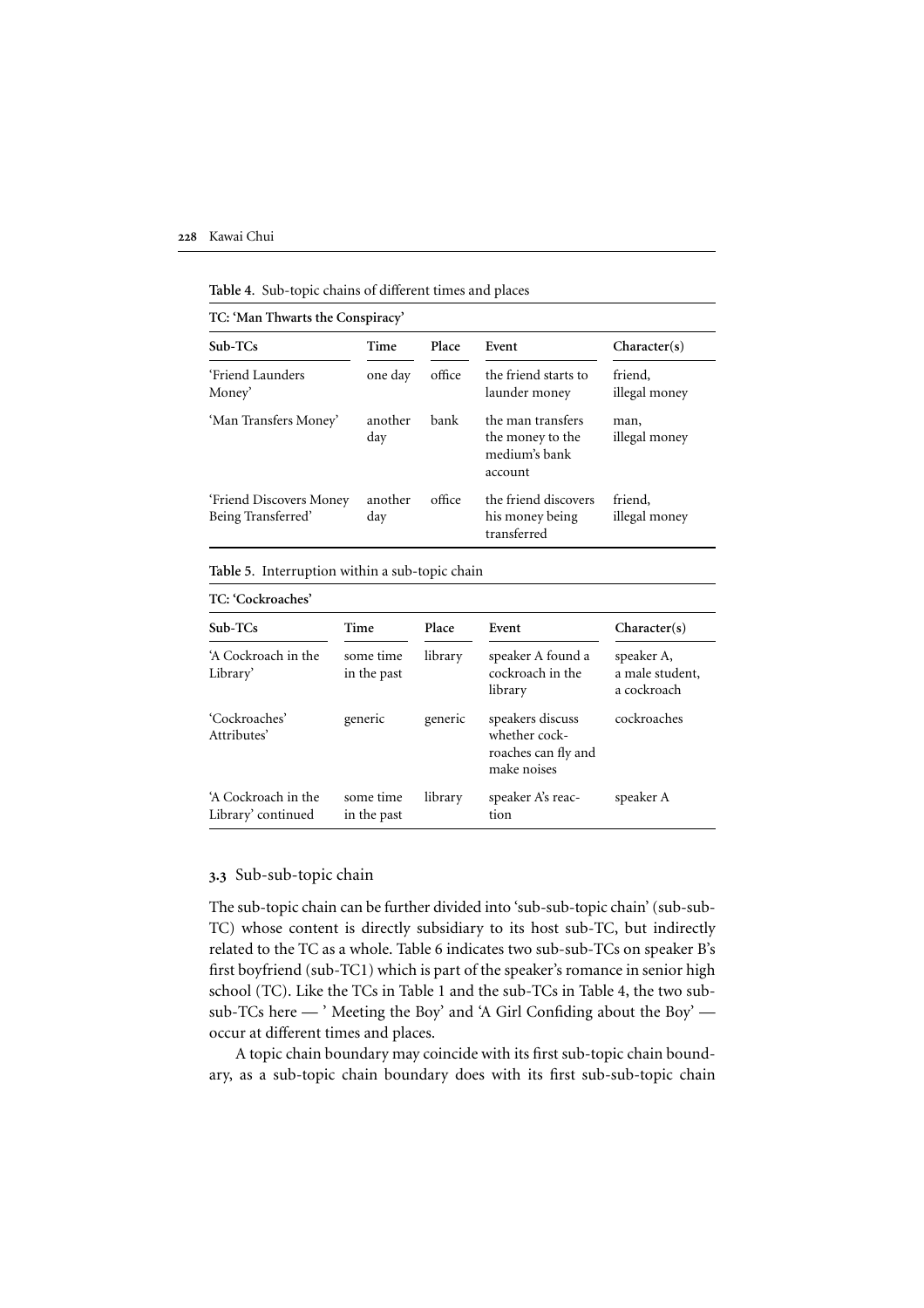| $Sub-TCs$                                     | Time           | Place  | Event                                                             | Character(s)             |
|-----------------------------------------------|----------------|--------|-------------------------------------------------------------------|--------------------------|
| 'Friend Launders<br>Money'                    | one day        | office | the friend starts to<br>launder money                             | friend,<br>illegal money |
| 'Man Transfers Money'                         | another<br>day | bank   | the man transfers<br>the money to the<br>medium's bank<br>account | man,<br>illegal money    |
| 'Friend Discovers Money<br>Being Transferred' | another<br>day | office | the friend discovers<br>his money being<br>transferred            | friend,<br>illegal money |

#### Table 4. Sub-topic chains of different times and places

TC: 'Man Thwarts the Conspiracy'

| Table 5. Interruption within a sub-topic chain |  |  |
|------------------------------------------------|--|--|
|                                                |  |  |

| TC: 'Cockroaches'                         |                          |         |                                                                         |                                              |  |  |
|-------------------------------------------|--------------------------|---------|-------------------------------------------------------------------------|----------------------------------------------|--|--|
| $Sub-TCs$                                 | Time                     | Place   | Event                                                                   | Character(s)                                 |  |  |
| 'A Cockroach in the<br>Library'           | some time<br>in the past | library | speaker A found a<br>cockroach in the<br>library                        | speaker A,<br>a male student.<br>a cockroach |  |  |
| 'Cockroaches'<br>Attributes'              | generic                  | generic | speakers discuss<br>whether cock-<br>roaches can fly and<br>make noises | cockroaches                                  |  |  |
| 'A Cockroach in the<br>Library' continued | some time<br>in the past | library | speaker A's reac-<br>tion                                               | speaker A                                    |  |  |

#### 3.3 Sub-sub-topic chain

The sub-topic chain can be further divided into 'sub-sub-topic chain' (sub-sub-TC) whose content is directly subsidiary to its host sub-TC, but indirectly related to the TC as a whole. Table 6 indicates two sub-sub-TCs on speaker B's first boyfriend (sub-TC1) which is part of the speaker's romance in senior high school (TC). Like the TCs in Table 1 and the sub-TCs in Table 4, the two subsub-TCs here  $-$  'Meeting the Boy' and 'A Girl Confiding about the Boy'  $$ occur at different times and places.

A topic chain boundary may coincide with its first sub-topic chain boundary, as a sub-topic chain boundary does with its first sub-sub-topic chain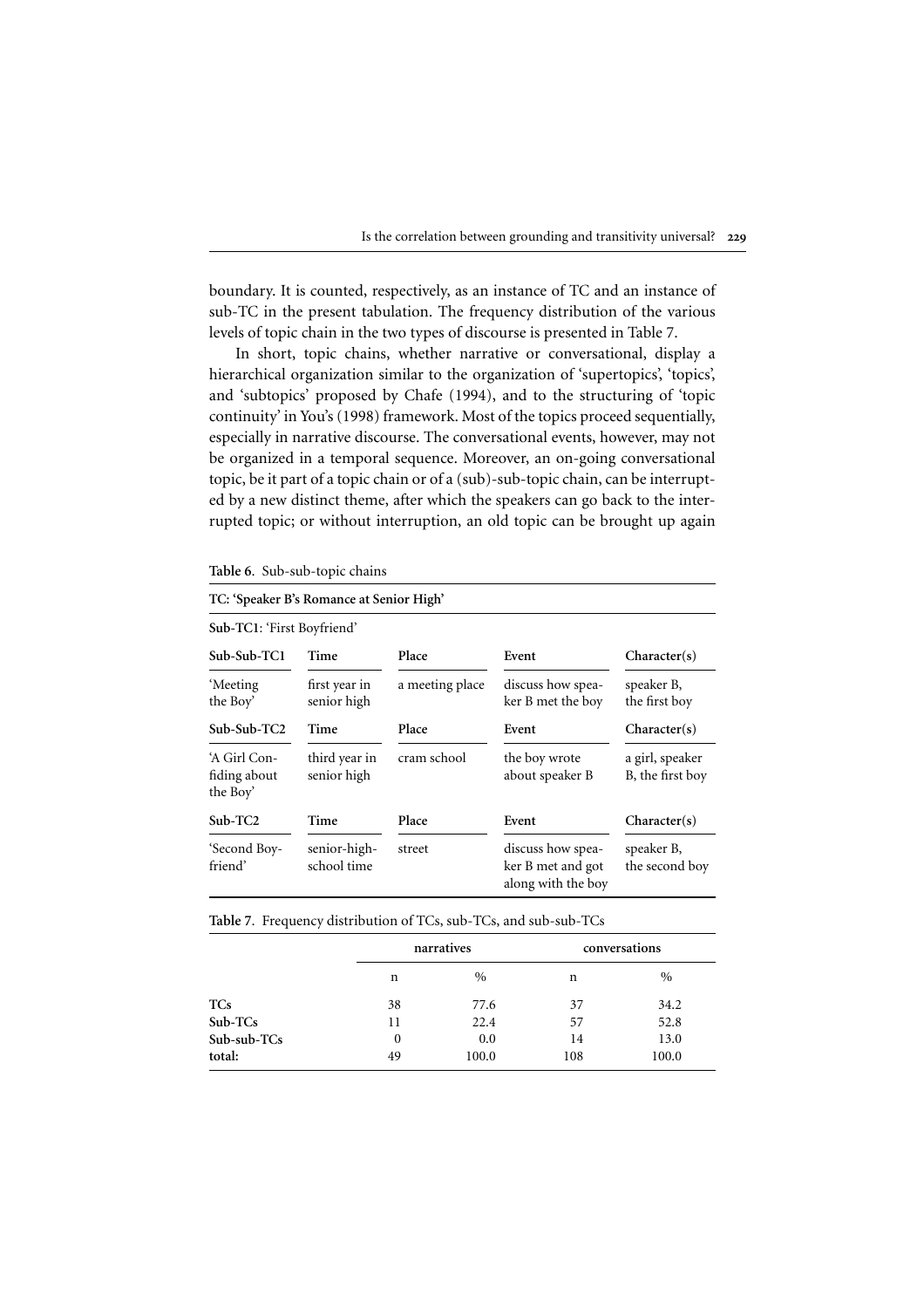boundary. It is counted, respectively, as an instance of TC and an instance of sub-TC in the present tabulation. The frequency distribution of the various levels of topic chain in the two types of discourse is presented in Table 7.

In short, topic chains, whether narrative or conversational, display a hierarchical organization similar to the organization of 'supertopics', 'topics', and 'subtopics' proposed by Chafe (1994), and to the structuring of 'topic continuity' in You's (1998) framework. Most of the topics proceed sequentially, Is the correlation between grounding and transitivity universal?<br>
boundary. It is counted, respectively, as an instance of TC and an instance of<br>
sub-TC in the present tabulation. The frequency distribution of the various<br> be organized in a temporal sequence. Moreover, an on-going conversational topic, be it part of a topic chain or of a (sub)-sub-topic chain, can be interrupted by a new distinct theme, after which the speakers can go back to the interrupted topic; or without interruption, an old topic can be brought up again

|                                          | TC: 'Speaker B's Romance at Senior High' |                 |                                                              |                                     |  |  |  |  |
|------------------------------------------|------------------------------------------|-----------------|--------------------------------------------------------------|-------------------------------------|--|--|--|--|
| Sub-TC1: 'First Boyfriend'               |                                          |                 |                                                              |                                     |  |  |  |  |
| Sub-Sub-TC1                              | Time                                     | Place           | Event                                                        | Character(s)                        |  |  |  |  |
| 'Meeting<br>the Boy'                     | first year in<br>senior high             | a meeting place | discuss how spea-<br>ker B met the boy                       | speaker B,<br>the first boy         |  |  |  |  |
| Sub-Sub-TC2                              | Time                                     | Place           | Event                                                        | Character(s)                        |  |  |  |  |
| 'A Girl Con-<br>fiding about<br>the Boy' | third year in<br>senior high             | cram school     | the boy wrote<br>about speaker B                             | a girl, speaker<br>B, the first boy |  |  |  |  |
| Sub-TC2                                  | Time                                     | Place           | Event                                                        | Character(s)                        |  |  |  |  |
| 'Second Boy-<br>friend'                  | senior-high-<br>school time              | street          | discuss how spea-<br>ker B met and got<br>along with the boy | speaker B,<br>the second boy        |  |  |  |  |

|  |  | Table 7. Frequency distribution of TCs, sub-TCs, and sub-sub-TCs |  |  |  |  |
|--|--|------------------------------------------------------------------|--|--|--|--|
|--|--|------------------------------------------------------------------|--|--|--|--|

|             |    | narratives |     | conversations |
|-------------|----|------------|-----|---------------|
|             | n  | $\%$       | n   | $\%$          |
| <b>TCs</b>  | 38 | 77.6       | 37  | 34.2          |
| Sub-TCs     | 11 | 22.4       | 57  | 52.8          |
| Sub-sub-TCs | 0  | 0.0        | 14  | 13.0          |
| total:      | 49 | 100.0      | 108 | 100.0         |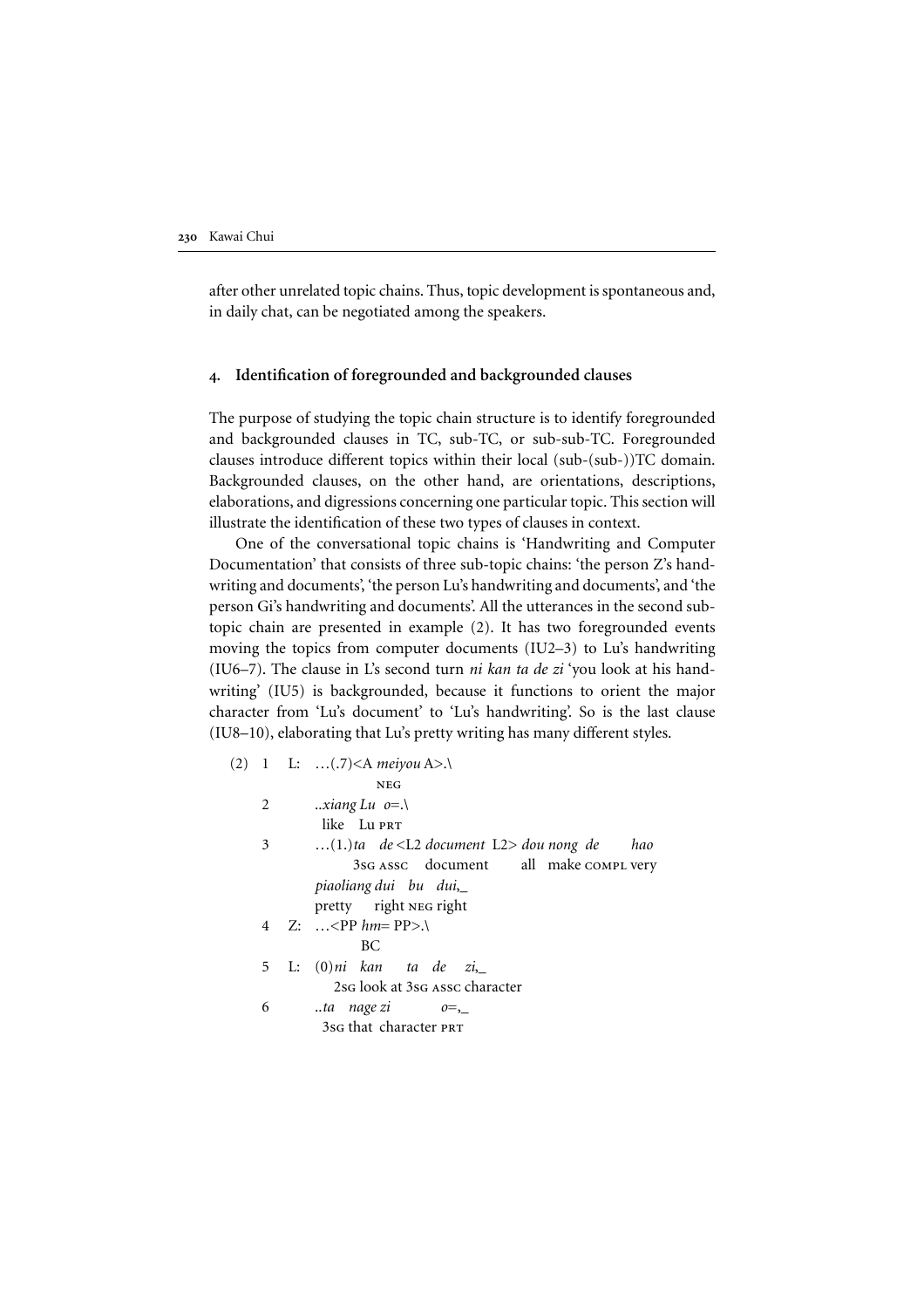after other unrelated topic chains. Thus, topic development is spontaneous and, in daily chat, can be negotiated among the speakers.

#### 4. Identification of foregrounded and backgrounded clauses

The purpose of studying the topic chain structure is to identify foregrounded and backgrounded clauses in TC, sub-TC, or sub-sub-TC. Foregrounded clauses introduce different topics within their local (sub-(sub-))TC domain. Backgrounded clauses, on the other hand, are orientations, descriptions, elaborations, and digressions concerning one particular topic. This section will illustrate the identification of these two types of clauses in context.

One of the conversational topic chains is 'Handwriting and Computer Documentation' that consists of three sub-topic chains: 'the person Z's handwriting and documents', 'the person Lu's handwriting and documents', and 'the person Gi's handwriting and documents'. All the utterances in the second subtopic chain are presented in example (2). It has two foregrounded events moving the topics from computer documents (IU2–3) to Lu's handwriting (IU6–7). The clause in L's second turn *ni kan ta de zi* 'you look at his handwriting' (IU5) is backgrounded, because it functions to orient the major character from 'Lu's document' to 'Lu's handwriting'. So is the last clause (IU8–10), elaborating that Lu's pretty writing has many different styles.

|   | (2) 1 L: (.7) <a a="" meiyou="">.</a>                             |
|---|-------------------------------------------------------------------|
|   | <b>NEG</b>                                                        |
| 2 | $\ldots$ xiang Lu $o = \lambda$                                   |
|   | like Lu PRT                                                       |
| 3 | $\dots(1.)$ ta de <l2 document="" l2=""> dou nong de<br/>hao</l2> |
|   | 3sG ASSC document all make compl very                             |
|   | piaoliang dui bu dui,                                             |
|   | pretty right NEG right                                            |
|   | 4 Z:  < PP $hm = PP$ >.                                           |
|   | BС                                                                |
|   | 5 L: (0)ni kan ta de zi,                                          |
|   | 2sg look at 3sg Assc character                                    |
| 6 | $ta$ nage zi $o=$ ,                                               |
|   | 3sG that character PRT                                            |
|   |                                                                   |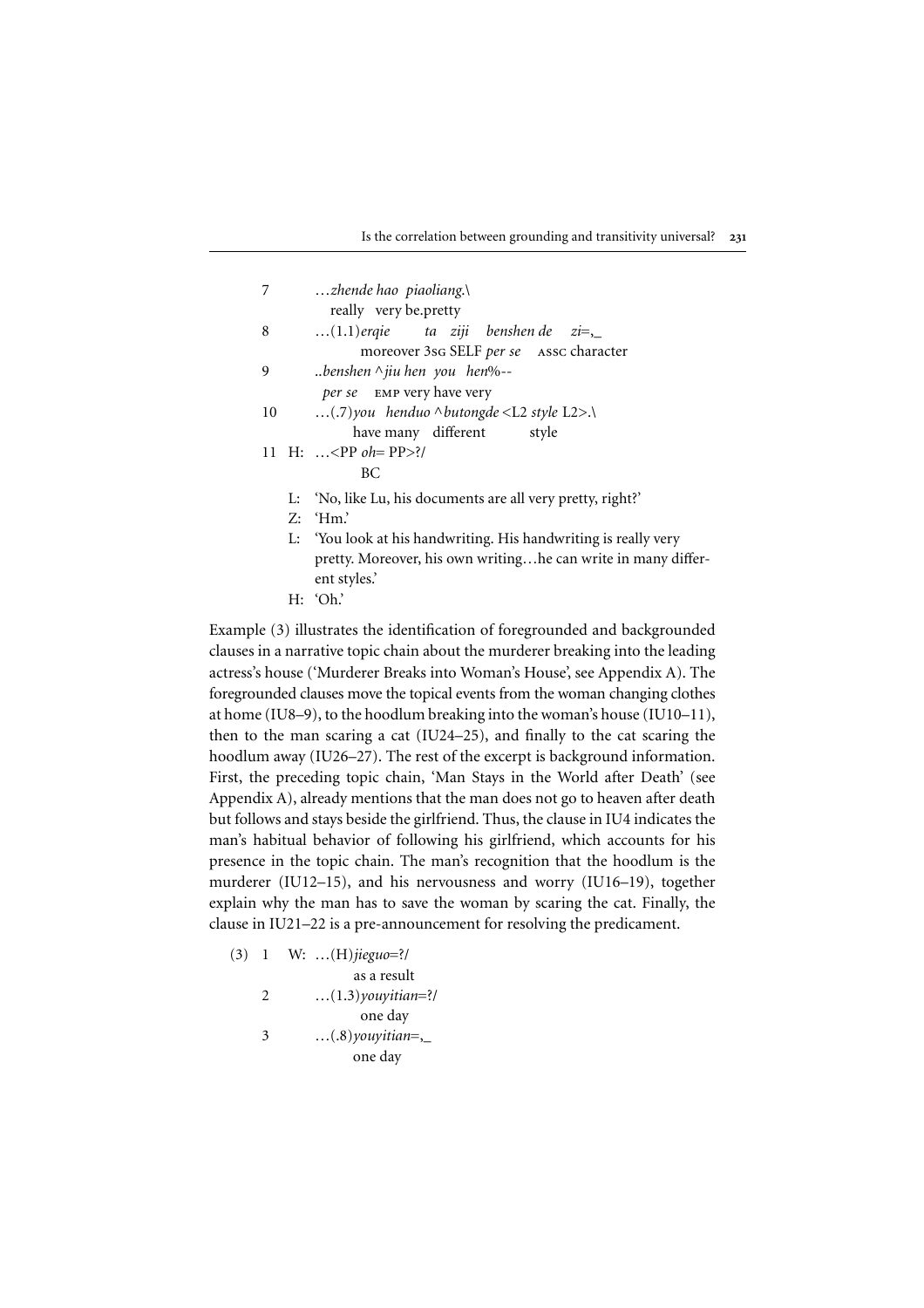| 7  |    | $\ldots$ zhende hao piaoliang.\                                               |
|----|----|-------------------------------------------------------------------------------|
|    |    | really very be.pretty                                                         |
| 8  |    | (1.1) ergie ta ziji benshen de zi=,                                           |
|    |    | moreover 3sG SELF per se ASSC character                                       |
| 9  |    | benshen $\wedge$ jiu hen you hen%--                                           |
|    |    | per se EMP very have very                                                     |
| 10 |    | (.7) you henduo \ butongde <l2 l2="" style="">.\</l2>                         |
|    |    | have many different style                                                     |
|    |    | 11 H:  < PP $oh = PP$ >?/                                                     |
|    |    | BС                                                                            |
|    |    | L: 'No, like Lu, his documents are all very pretty, right?'                   |
|    | Z: | Hm.                                                                           |
|    |    | L: 'You look at his handwriting. His handwriting is really very               |
|    |    | pretty. Moreover, his own writinghe can write in many differ-<br>ent styles.' |

H: 'Oh.'

Example (3) illustrates the identification of foregrounded and backgrounded clauses in a narrative topic chain about the murderer breaking into the leading actress's house ('Murderer Breaks into Woman's House', see Appendix A). The foregrounded clauses move the topical events from the woman changing clothes at home (IU8–9), to the hoodlum breaking into the woman's house (IU10–11), then to the man scaring a cat (IU24–25), and finally to the cat scaring the hoodlum away (IU26–27). The rest of the excerpt is background information. First, the preceding topic chain, 'Man Stays in the World after Death' (see Appendix A), already mentions that the man does not go to heaven after death but follows and stays beside the girlfriend. Thus, the clause in IU4 indicates the man's habitual behavior of following his girlfriend, which accounts for his presence in the topic chain. The man's recognition that the hoodlum is the murderer (IU12–15), and his nervousness and worry (IU16–19), together explain why the man has to save the woman by scaring the cat. Finally, the clause in IU21–22 is a pre-announcement for resolving the predicament.

(3) 1 W: …(H)*jieguo*=?/ as a result 2 …(1.3)*youyitian*=?/ one day 3 …(.8)*youyitian*=,\_ one day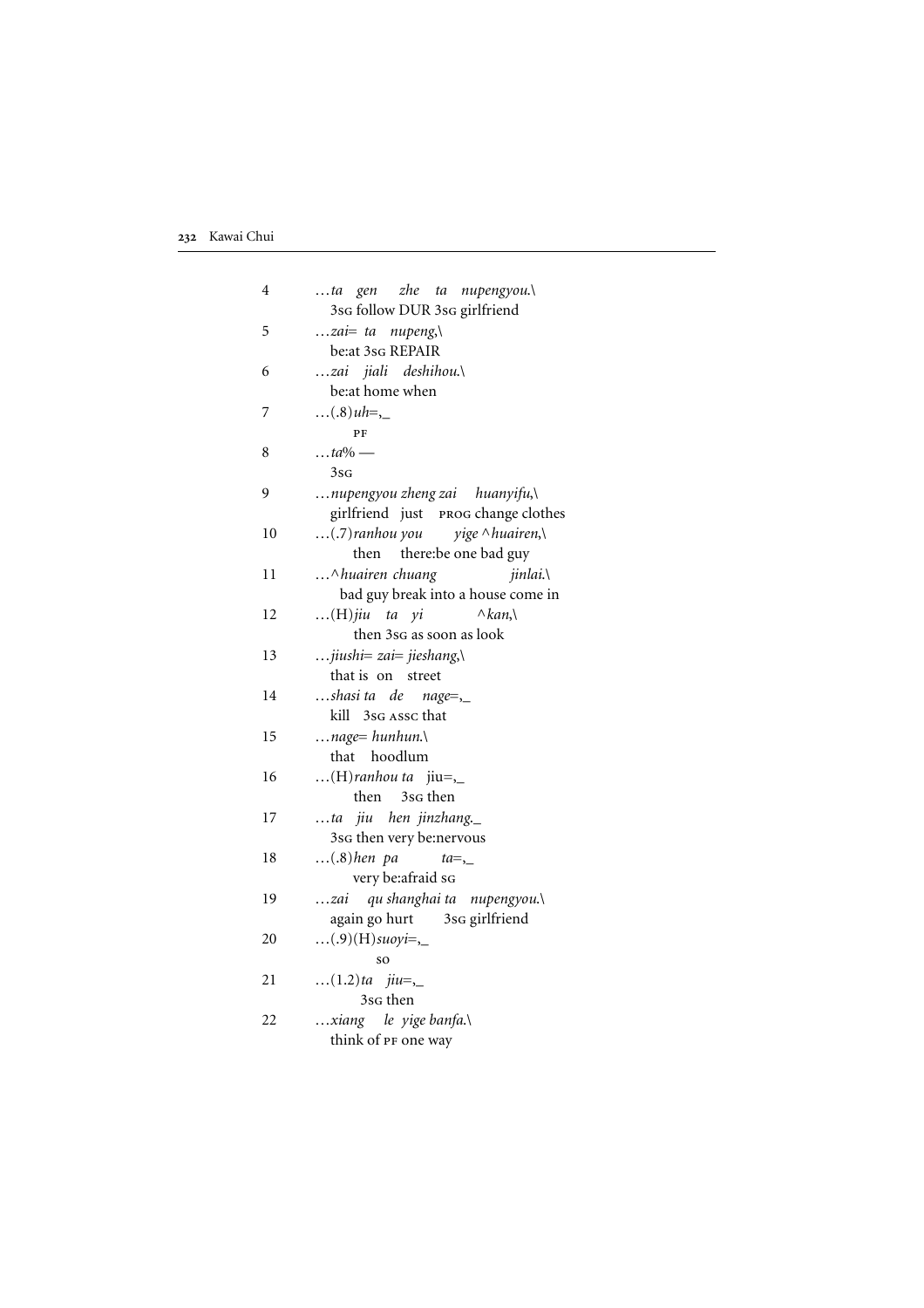| 4  | …ta gen zhe ta nupengyou.∖<br>3sG follow DUR 3sG girlfriend |
|----|-------------------------------------------------------------|
| 5  |                                                             |
|    | $zai=ta$ nupeng,<br>be:at 3sg REPAIR                        |
| 6  | $zai$ jiali deshihou.                                       |
|    | be:at home when                                             |
| 7  | (.8) $uh =$ ,                                               |
|    | PF                                                          |
| 8  | $$ ta% —                                                    |
|    | 3sg                                                         |
| 9  | nupengyou zheng zai huanyifu, $\setminus$                   |
|    | girlfriend just PROG change clothes                         |
| 10 | (.7) ranhou you yige $\land$ huairen, $\land$               |
|    | then there:be one bad guy                                   |
| 11 | ∧huairen chuang<br>jinlai.\                                 |
|    | bad guy break into a house come in                          |
| 12 | $(H)$ jiu ta yi<br>$\wedge$ kan,                            |
|    | then 3sG as soon as look                                    |
| 13 | <i>jiushi</i> = zai= jieshang.\                             |
|    | that is on street                                           |
| 14 | shasi ta de nage=,                                          |
|    | kill 3sG ASSC that                                          |
| 15 | $\ldots$ nage= hunhun.                                      |
|    | that hoodlum                                                |
| 16 | $(H)$ ranhou ta jiu=,_                                      |
|    | then 3sG then                                               |
| 17 | ta jiu hen jinzhang.                                        |
|    | 3sG then very be:nervous                                    |
| 18 | $\dots(0.8)$ hen pa ta=,_                                   |
|    | very be: afraid sG                                          |
| 19 | zai qu shanghai ta nupengyou.\                              |
|    | again go hurt 3sG girlfriend                                |
| 20 | $(9)(H)$ suoyi=,_                                           |
|    | <b>SO</b>                                                   |
| 21 | $(1.2)$ ta jiu=,_                                           |
|    | 3sg then                                                    |
| 22 | xiang le yige banfa.\                                       |
|    | think of PF one way                                         |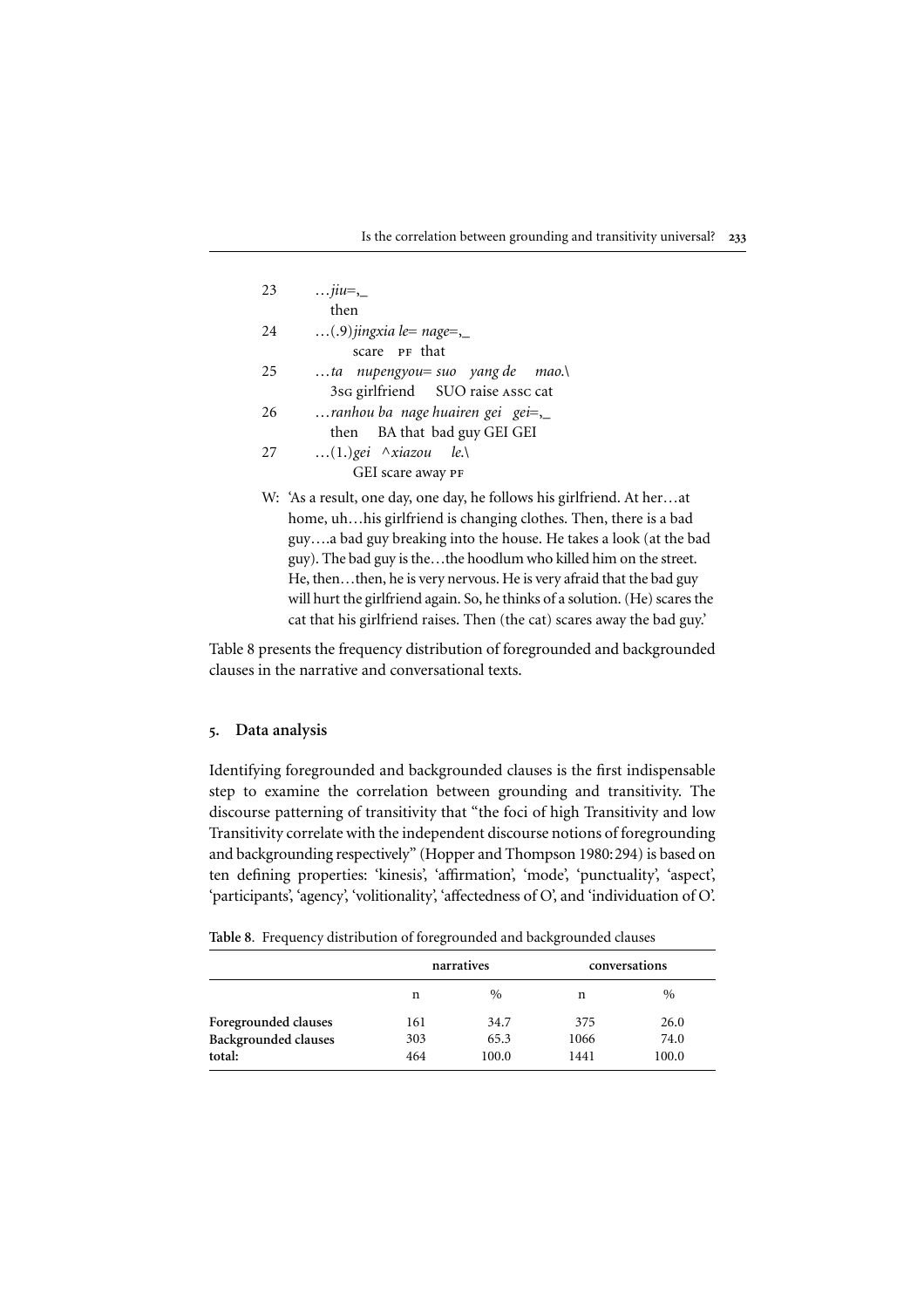| 23 | $\ldots$ <i>jiu</i> = $\ldots$      |
|----|-------------------------------------|
|    | then                                |
| 24 | $\dots(0.9)$ jingxia le= nage=,     |
|    | scare PF that                       |
| 25 | ta nupengyou= suo yang de mao.\     |
|    | 3sG girlfriend SUO raise Assc cat   |
| 26 | ranhou ba nage huairen gei gei=,    |
|    | then BA that bad guy GEI GEI        |
| 27 | $\dots(1.)$ gei $\wedge xiazou$ le. |
|    | GEI scare away PF                   |
|    |                                     |

W: 'As a result, one day, one day, he follows his girlfriend. At her…at home, uh…his girlfriend is changing clothes. Then, there is a bad guy….a bad guy breaking into the house. He takes a look (at the bad guy). The bad guy is the…the hoodlum who killed him on the street. He, then…then, he is very nervous. He is very afraid that the bad guy will hurt the girlfriend again. So, he thinks of a solution. (He) scares the cat that his girlfriend raises. Then (the cat) scares away the bad guy.'

Table 8 presents the frequency distribution of foregrounded and backgrounded clauses in the narrative and conversational texts.

### 5. Data analysis

Identifying foregrounded and backgrounded clauses is the first indispensable step to examine the correlation between grounding and transitivity. The discourse patterning of transitivity that "the foci of high Transitivity and low Transitivity correlate with the independent discourse notions of foregrounding and backgrounding respectively" (Hopper and Thompson 1980:294) is based on ten defining properties: 'kinesis', 'affirmation', 'mode', 'punctuality', 'aspect', 'participants', 'agency', 'volitionality', 'affectedness of O', and 'individuation of O'.

|                             | narratives |               | conversations |               |
|-----------------------------|------------|---------------|---------------|---------------|
|                             | n          | $\frac{0}{0}$ | n             | $\frac{0}{0}$ |
| Foregrounded clauses        | 161        | 34.7          | 375           | 26.0          |
| <b>Backgrounded clauses</b> | 303        | 65.3          | 1066          | 74.0          |
| total:                      | 464        | 100.0         | 1441          | 100.0         |

Table 8 Frequency distribution of foregrounded and backgrounded clauses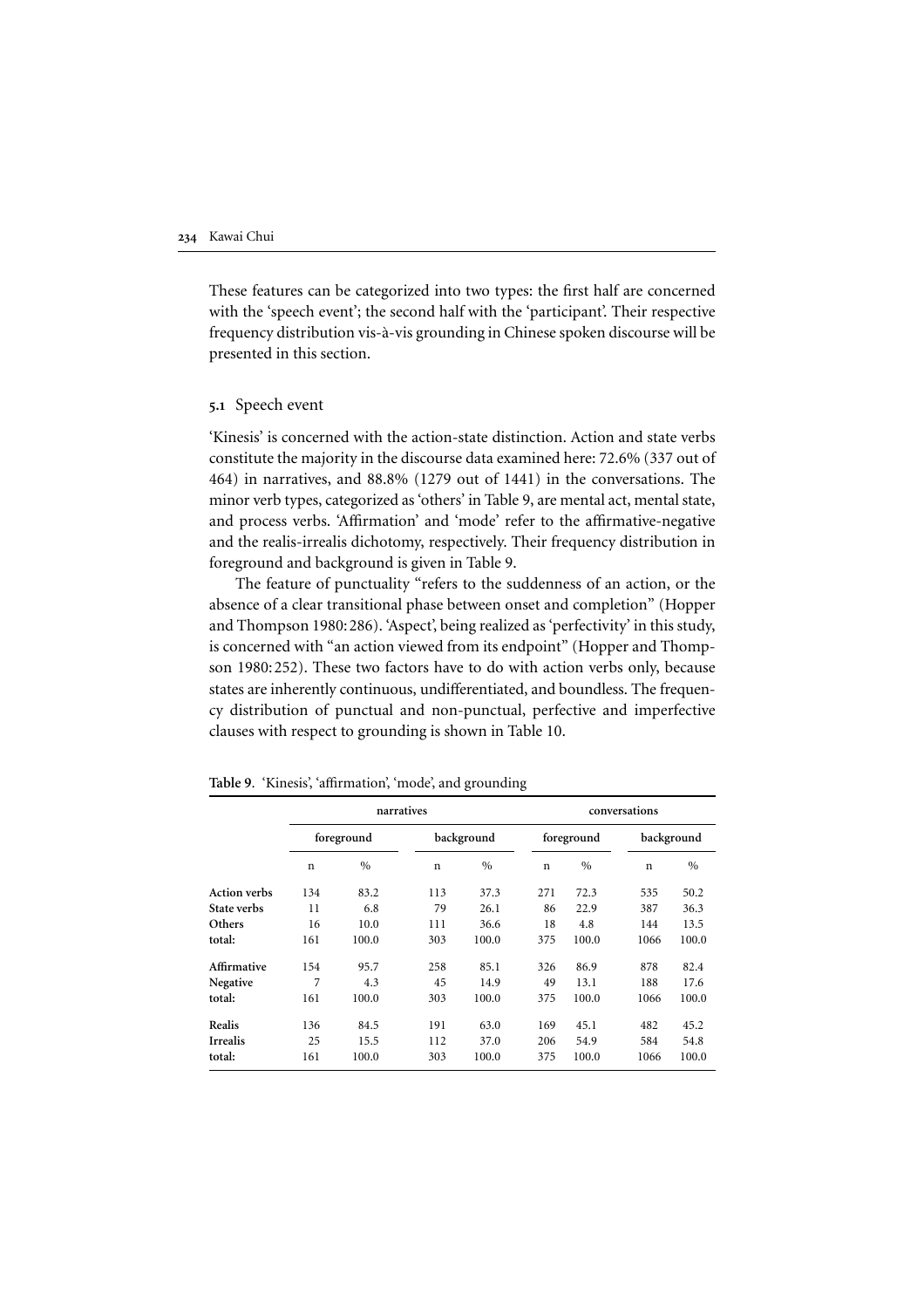These features can be categorized into two types: the first half are concerned with the 'speech event'; the second half with the 'participant'. Their respective frequency distribution vis-à-vis grounding in Chinese spoken discourse will be presented in this section.

#### 5.1 Speech event

'Kinesis' is concerned with the action-state distinction. Action and state verbs constitute the majority in the discourse data examined here: 72.6% (337 out of 464) in narratives, and 88.8% (1279 out of 1441) in the conversations. The minor verb types, categorized as 'others' in Table 9, are mental act, mental state, and process verbs. 'Affirmation' and 'mode' refer to the affirmative-negative and the realis-irrealis dichotomy, respectively. Their frequency distribution in foreground and background is given in Table 9.

The feature of punctuality "refers to the suddenness of an action, or the absence of a clear transitional phase between onset and completion" (Hopper and Thompson 1980:286). 'Aspect', being realized as 'perfectivity' in this study, is concerned with "an action viewed from its endpoint" (Hopper and Thompson 1980:252). These two factors have to do with action verbs only, because states are inherently continuous, undifferentiated, and boundless. The frequency distribution of punctual and non-punctual, perfective and imperfective clauses with respect to grounding is shown in Table 10.

|                     |             | narratives |             |            |             |            | conversations |            |
|---------------------|-------------|------------|-------------|------------|-------------|------------|---------------|------------|
|                     |             | foreground |             | background |             | foreground |               | background |
|                     | $\mathbf n$ | $\%$       | $\mathbf n$ | $\%$       | $\mathbf n$ | $\%$       | $\mathbf n$   | $\%$       |
| <b>Action verbs</b> | 134         | 83.2       | 113         | 37.3       | 271         | 72.3       | 535           | 50.2       |
| State verbs         | 11          | 6.8        | 79          | 26.1       | 86          | 22.9       | 387           | 36.3       |
| Others              | 16          | 10.0       | 111         | 36.6       | 18          | 4.8        | 144           | 13.5       |
| total:              | 161         | 100.0      | 303         | 100.0      | 375         | 100.0      | 1066          | 100.0      |
| Affirmative         | 154         | 95.7       | 258         | 85.1       | 326         | 86.9       | 878           | 82.4       |
| Negative            | 7           | 4.3        | 45          | 14.9       | 49          | 13.1       | 188           | 17.6       |
| total:              | 161         | 100.0      | 303         | 100.0      | 375         | 100.0      | 1066          | 100.0      |
| Realis              | 136         | 84.5       | 191         | 63.0       | 169         | 45.1       | 482           | 45.2       |
| <b>Irrealis</b>     | 25          | 15.5       | 112         | 37.0       | 206         | 54.9       | 584           | 54.8       |
| total:              | 161         | 100.0      | 303         | 100.0      | 375         | 100.0      | 1066          | 100.0      |

Table 9. 'Kinesis', 'affirmation', 'mode', and grounding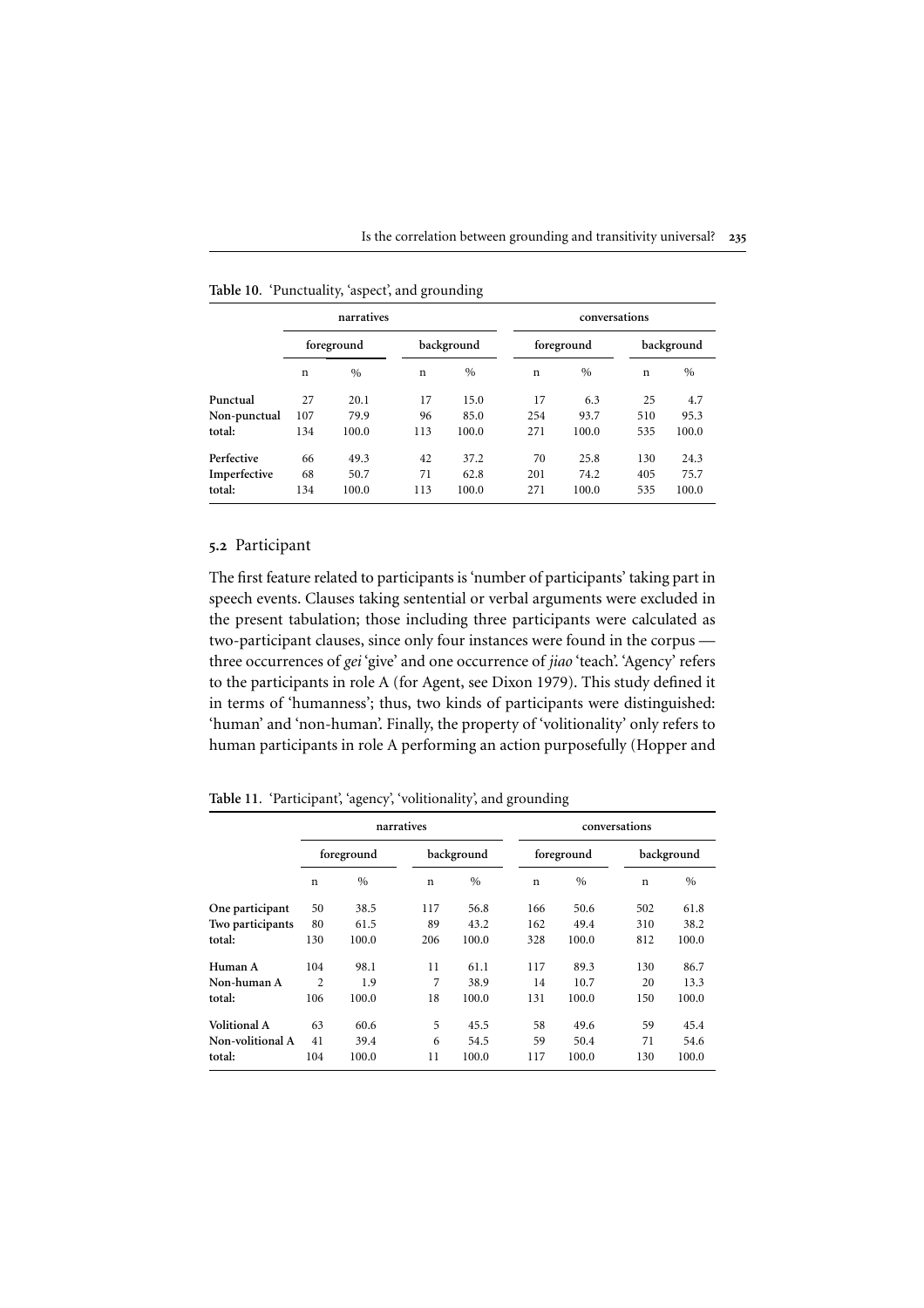|              |             | narratives |             |            | conversations |               |     |            |  |
|--------------|-------------|------------|-------------|------------|---------------|---------------|-----|------------|--|
|              | foreground  |            |             | background |               | foreground    |     | background |  |
|              | $\mathbf n$ | $\%$       | $\mathbf n$ | $\%$       | n             | $\frac{0}{0}$ | n   | $\%$       |  |
| Punctual     | 27          | 20.1       | 17          | 15.0       | 17            | 6.3           | 25  | 4.7        |  |
| Non-punctual | 107         | 79.9       | 96          | 85.0       | 254           | 93.7          | 510 | 95.3       |  |
| total:       | 134         | 100.0      | 113         | 100.0      | 271           | 100.0         | 535 | 100.0      |  |
| Perfective   | 66          | 49.3       | 42          | 37.2       | 70            | 25.8          | 130 | 24.3       |  |
| Imperfective | 68          | 50.7       | 71          | 62.8       | 201           | 74.2          | 405 | 75.7       |  |
| total:       | 134         | 100.0      | 113         | 100.0      | 271           | 100.0         | 535 | 100.0      |  |

Table 10. 'Punctuality, 'aspect', and grounding

### 5.2 Participant

The first feature related to participants is 'number of participants' taking part in speech events. Clauses taking sentential or verbal arguments were excluded in the present tabulation; those including three participants were calculated as two-participant clauses, since only four instances were found in the corpus three occurrences of *gei* 'give' and one occurrence of *jiao* 'teach'. 'Agency' refers to the participants in role A (for Agent, see Dixon 1979). This study defined it in terms of 'humanness'; thus, two kinds of participants were distinguished: 'human' and 'non-human'. Finally, the property of 'volitionality' only refers to human participants in role A performing an action purposefully (Hopper and

|                     | narratives     |            |             |            |             | conversations |             |            |  |  |
|---------------------|----------------|------------|-------------|------------|-------------|---------------|-------------|------------|--|--|
|                     |                | foreground |             | background |             | foreground    |             | background |  |  |
|                     | $\mathbf n$    | $\%$       | $\mathbf n$ | $\%$       | $\mathbf n$ | $\frac{0}{0}$ | $\mathbf n$ | $\%$       |  |  |
| One participant     | 50             | 38.5       | 117         | 56.8       | 166         | 50.6          | 502         | 61.8       |  |  |
| Two participants    | 80             | 61.5       | 89          | 43.2       | 162         | 49.4          | 310         | 38.2       |  |  |
| total:              | 130            | 100.0      | 206         | 100.0      | 328         | 100.0         | 812         | 100.0      |  |  |
| Human A             | 104            | 98.1       | 11          | 61.1       | 117         | 89.3          | 130         | 86.7       |  |  |
| Non-human A         | $\overline{2}$ | 1.9        | 7           | 38.9       | 14          | 10.7          | 20          | 13.3       |  |  |
| total:              | 106            | 100.0      | 18          | 100.0      | 131         | 100.0         | 150         | 100.0      |  |  |
| <b>Volitional A</b> | 63             | 60.6       | 5           | 45.5       | 58          | 49.6          | 59          | 45.4       |  |  |
| Non-volitional A    | 41             | 39.4       | 6           | 54.5       | 59          | 50.4          | 71          | 54.6       |  |  |
| total:              | 104            | 100.0      | 11          | 100.0      | 117         | 100.0         | 130         | 100.0      |  |  |

Table 11. 'Participant', 'agency', 'volitionality', and grounding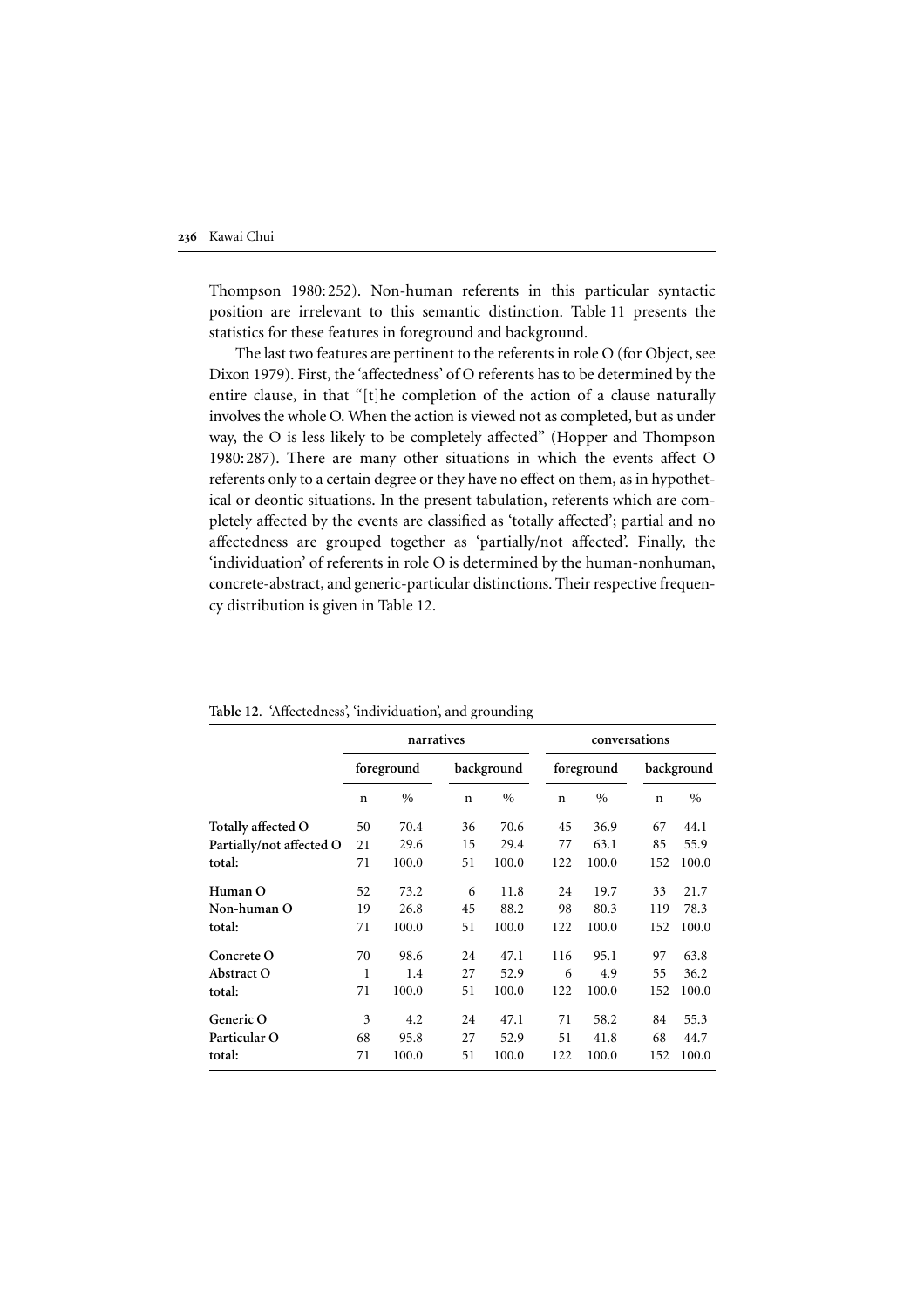Thompson 1980:252). Non-human referents in this particular syntactic position are irrelevant to this semantic distinction. Table 11 presents the statistics for these features in foreground and background.

The last two features are pertinent to the referents in role O (for Object, see Dixon 1979). First, the 'affectedness' of O referents has to be determined by the entire clause, in that "[t]he completion of the action of a clause naturally involves the whole O. When the action is viewed not as completed, but as under way, the O is less likely to be completely affected" (Hopper and Thompson <sup>236</sup> Kawai Chui<br>
Thompson 1980:252). Non-human referents in this particular syntactic<br>
position are irrelevant to this semantic distinction. Table 11 presents the<br>
statistics for these features in foreground and backgroun referents only to a certain degree or they have no effect on them, as in hypothetical or deontic situations. In the present tabulation, referents which are completely affected by the events are classified as 'totally affected'; partial and no affectedness are grouped together as 'partially/not affected'. Finally, the 'individuation' of referents in role O is determined by the human-nonhuman, concrete-abstract, and generic-particular distinctions. Their respective frequency distribution is given in Table 12.

|                          | narratives  |            |             |               |             | conversations |             |       |
|--------------------------|-------------|------------|-------------|---------------|-------------|---------------|-------------|-------|
|                          |             | foreground |             | background    |             | foreground    | background  |       |
|                          | $\mathbf n$ | $\%$       | $\mathbf n$ | $\frac{0}{0}$ | $\mathbf n$ | $\%$          | $\mathbf n$ | $\%$  |
| Totally affected O       | 50          | 70.4       | 36          | 70.6          | 45          | 36.9          | 67          | 44.1  |
| Partially/not affected O | 21          | 29.6       | 15          | 29.4          | 77          | 63.1          | 85          | 55.9  |
| total:                   | 71          | 100.0      | 51          | 100.0         | 122         | 100.0         | 152         | 100.0 |
| Human O                  | 52          | 73.2       | 6           | 11.8          | 24          | 19.7          | 33          | 21.7  |
| Non-human O              | 19          | 26.8       | 45          | 88.2          | 98          | 80.3          | 119         | 78.3  |
| total:                   | 71          | 100.0      | 51          | 100.0         | 122         | 100.0         | 152         | 100.0 |
| Concrete O               | 70          | 98.6       | 24          | 47.1          | 116         | 95.1          | 97          | 63.8  |
| Abstract O               | 1           | 1.4        | 27          | 52.9          | 6           | 4.9           | 55          | 36.2  |
| total:                   | 71          | 100.0      | 51          | 100.0         | 122         | 100.0         | 152         | 100.0 |
| Generic O                | 3           | 4.2        | 24          | 47.1          | 71          | 58.2          | 84          | 55.3  |
| Particular O             | 68          | 95.8       | 27          | 52.9          | 51          | 41.8          | 68          | 44.7  |
| total:                   | 71          | 100.0      | 51          | 100.0         | 122         | 100.0         | 152         | 100.0 |

Table 12. 'Affectedness', 'individuation', and grounding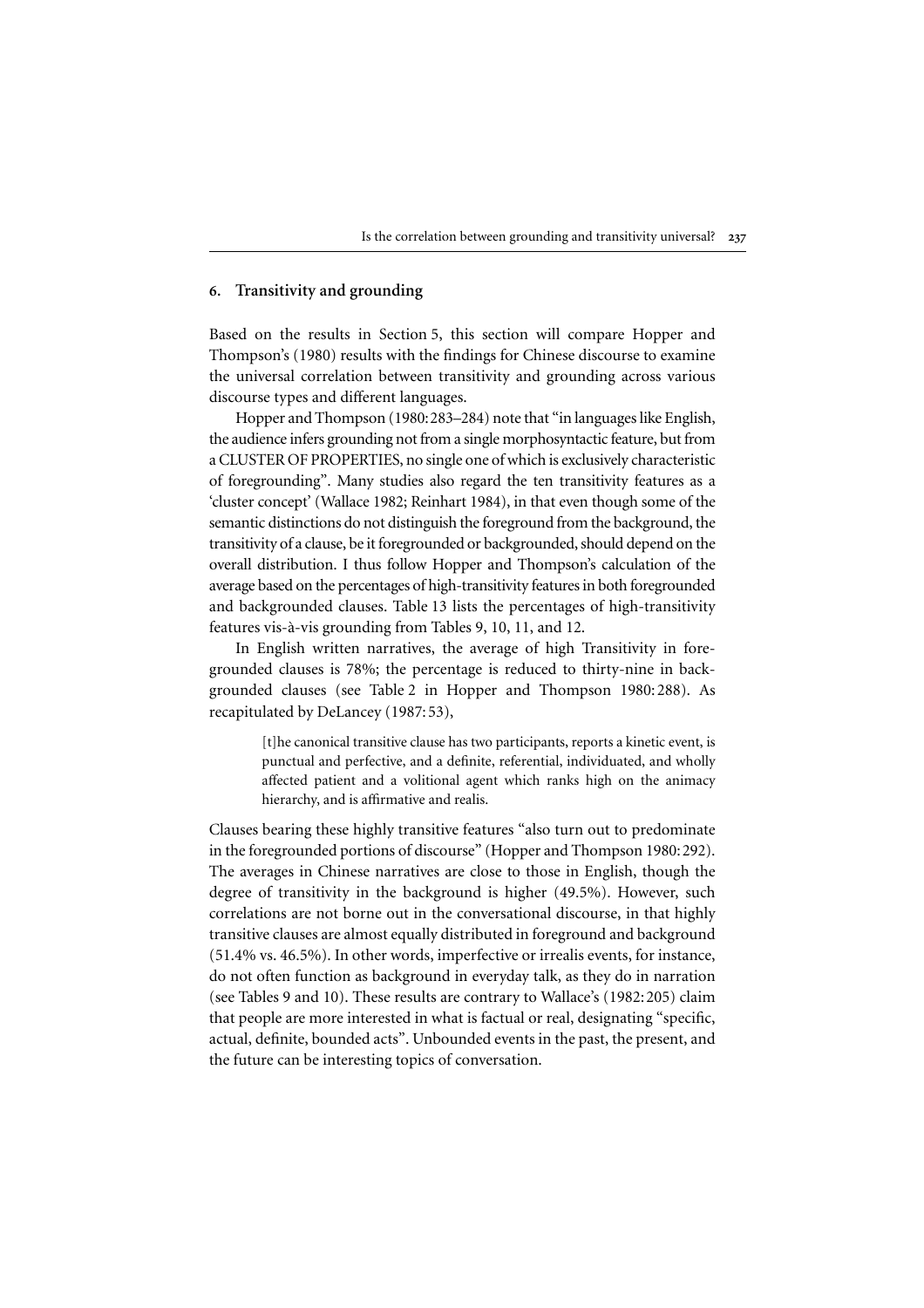#### 6. Transitivity and grounding

Based on the results in Section 5, this section will compare Hopper and Thompson's (1980) results with the findings for Chinese discourse to examine the universal correlation between transitivity and grounding across various discourse types and different languages.

Hopper and Thompson (1980:283–284) note that "in languages like English, the audience infers grounding not from a single morphosyntactic feature, but from a CLUSTER OF PROPERTIES, no single one of which is exclusively characteristic of foregrounding". Many studies also regard the ten transitivity features as a 'cluster concept' (Wallace 1982; Reinhart 1984), in that even though some of the Is the correlation between grounding and transitivity universal?<br>
6. Transitivity and grounding<br>
Based on the results in Section 5, this section will compare Hopper and<br>
Thompson's (1980) results with the findings for Chin transitivity of a clause, be it foregrounded or backgrounded, should depend on the overall distribution. I thus follow Hopper and Thompson's calculation of the average based on the percentages of high-transitivity features in both foregrounded and backgrounded clauses. Table 13 lists the percentages of high-transitivity features vis-à-vis grounding from Tables 9, 10, 11, and 12. is the correlation between grounding and transitivity universal?<br>
6. Transitivity and grounding<br>
Based on the results in Section 5, this section will compare Hopper and<br>
Thompson's (1980) results with the findings for Chi

In English written narratives, the average of high Transitivity in foregrounded clauses is 78%; the percentage is reduced to thirty-nine in backgrounded clauses (see Table 2 in Hopper and Thompson 1980:288). As recapitulated by DeLancey (1987:53),

> punctual and perfective, and a definite, referential, individuated, and wholly affected patient and a volitional agent which ranks high on the animacy hierarchy, and is affirmative and realis.

Clauses bearing these highly transitive features "also turn out to predominate in the foregrounded portions of discourse" (Hopper and Thompson 1980:292). The averages in Chinese narratives are close to those in English, though the degree of transitivity in the background is higher (49.5%). However, such correlations are not borne out in the conversational discourse, in that highly transitive clauses are almost equally distributed in foreground and background (51.4% vs. 46.5%). In other words, imperfective or irrealis events, for instance, do not often function as background in everyday talk, as they do in narration (see Tables 9 and 10). These results are contrary to Wallace's (1982:205) claim that people are more interested in what is factual or real, designating "specific, actual, definite, bounded acts". Unbounded events in the past, the present, and the future can be interesting topics of conversation.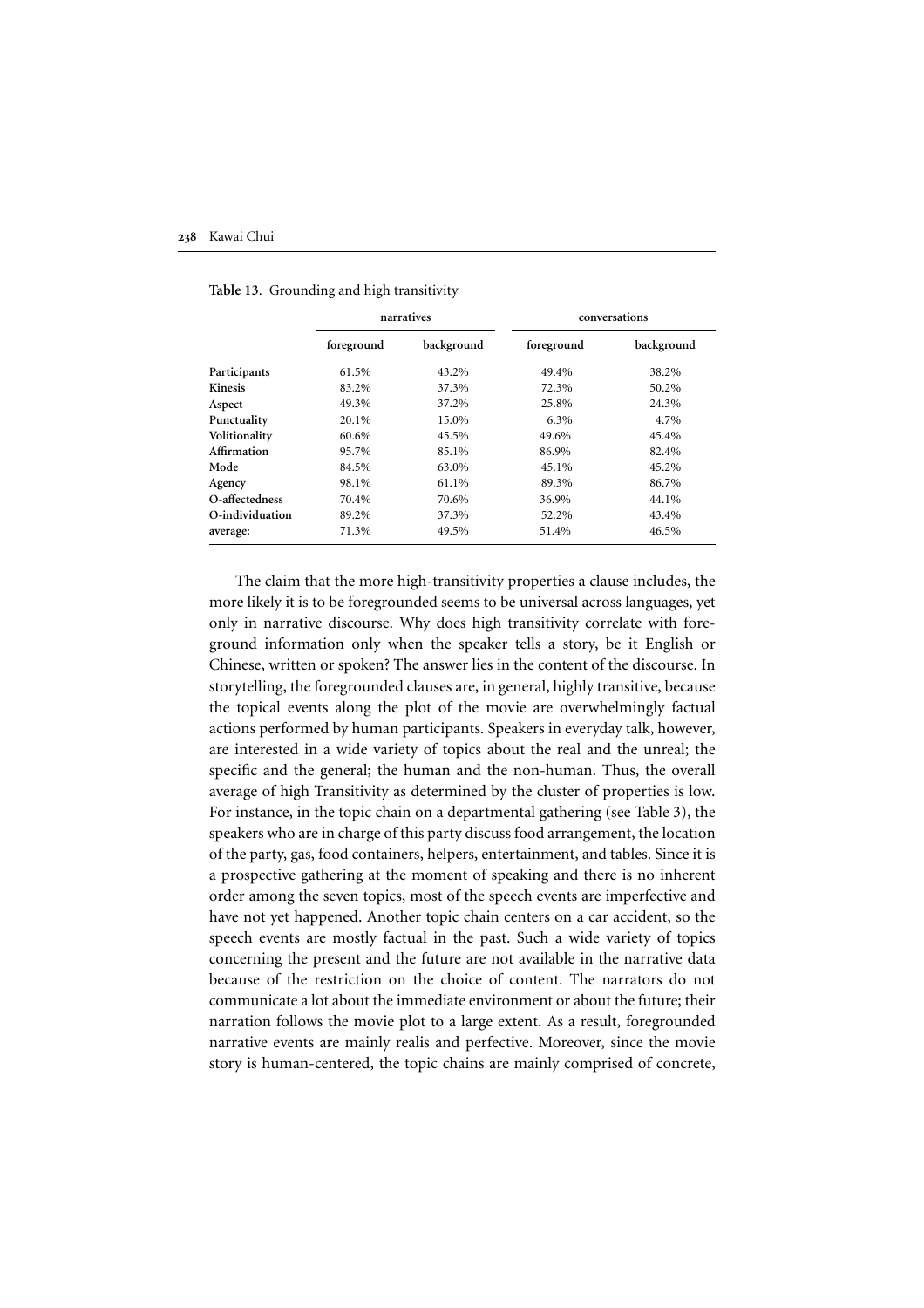|                 |            | narratives | conversations |            |  |
|-----------------|------------|------------|---------------|------------|--|
|                 | foreground | background | foreground    | background |  |
| Participants    | 61.5%      | 43.2%      | 49.4%         | 38.2%      |  |
| <b>Kinesis</b>  | 83.2%      | 37.3%      | 72.3%         | 50.2%      |  |
| Aspect          | 49.3%      | 37.2%      | 25.8%         | 24.3%      |  |
| Punctuality     | 20.1%      | 15.0%      | 6.3%          | 4.7%       |  |
| Volitionality   | 60.6%      | 45.5%      | 49.6%         | 45.4%      |  |
| Affirmation     | 95.7%      | 85.1%      | 86.9%         | 82.4%      |  |
| Mode            | 84.5%      | 63.0%      | 45.1%         | 45.2%      |  |
| Agency          | 98.1%      | 61.1%      | 89.3%         | 86.7%      |  |
| O-affectedness  | 70.4%      | 70.6%      | 36.9%         | 44.1%      |  |
| O-individuation | 89.2%      | 37.3%      | 52.2%         | 43.4%      |  |
| average:        | 71.3%      | 49.5%      | 51.4%         | 46.5%      |  |

The claim that the more high-transitivity properties a clause includes, the more likely it is to be foregrounded seems to be universal across languages, yet only in narrative discourse. Why does high transitivity correlate with foreground information only when the speaker tells a story, be it English or Chinese, written or spoken? The answer lies in the content of the discourse. In storytelling, the foregrounded clauses are, in general, highly transitive, because the topical events along the plot of the movie are overwhelmingly factual actions performed by human participants. Speakers in everyday talk, however, are interested in a wide variety of topics about the real and the unreal; the specific and the general; the human and the non-human. Thus, the overall average of high Transitivity as determined by the cluster of properties is low. For instance, in the topic chain on a departmental gathering (see Table 3), the speakers who are in charge of this party discuss food arrangement, the location of the party, gas, food containers, helpers, entertainment, and tables. Since it is a prospective gathering at the moment of speaking and there is no inherent order among the seven topics, most of the speech events are imperfective and have not yet happened. Another topic chain centers on a car accident, so the speech events are mostly factual in the past. Such a wide variety of topics concerning the present and the future are not available in the narrative data because of the restriction on the choice of content. The narrators do not communicate a lot about the immediate environment or about the future; their narration follows the movie plot to a large extent. As a result, foregrounded narrative events are mainly realis and perfective. Moreover, since the movie story is human-centered, the topic chains are mainly comprised of concrete,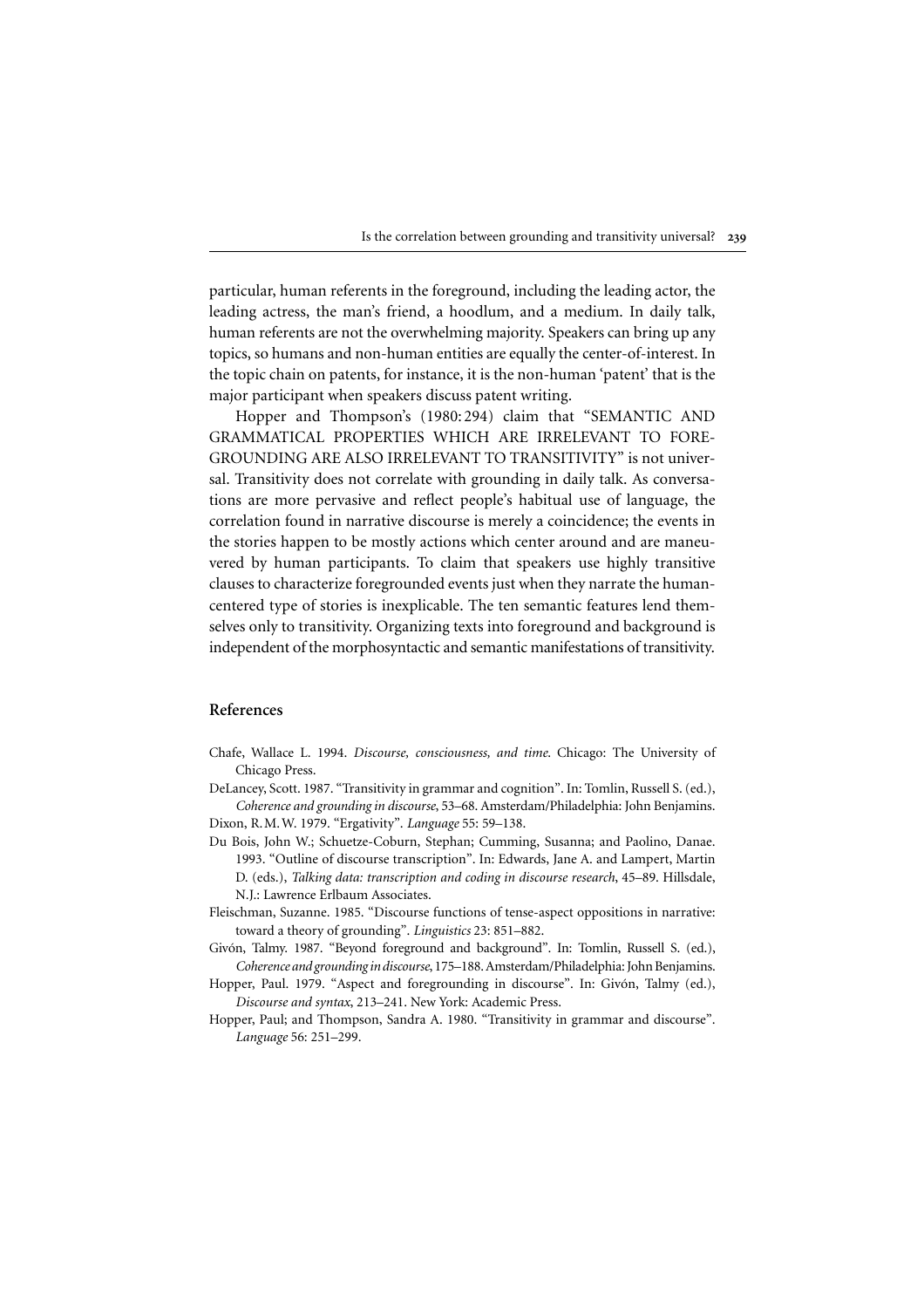particular, human referents in the foreground, including the leading actor, the leading actress, the man's friend, a hoodlum, and a medium. In daily talk, human referents are not the overwhelming majority. Speakers can bring up any topics, so humans and non-human entities are equally the center-of-interest. In the topic chain on patents, for instance, it is the non-human 'patent' that is the major participant when speakers discuss patent writing.

Hopper and Thompson's (1980:294) claim that "SEMANTIC AND GRAMMATICAL PROPERTIES WHICH ARE IRRELEVANT TO FORE-GROUNDING ARE ALSO IRRELEVANT TO TRANSITIVITY" is not universal. Transitivity does not correlate with grounding in daily talk. As conversations are more pervasive and reflect people's habitual use of language, the correlation found in narrative discourse is merely a coincidence; the events in the stories happen to be mostly actions which center around and are maneuvered by human participants. To claim that speakers use highly transitive clauses to characterize foregrounded events just when they narrate the humancentered type of stories is inexplicable. The ten semantic features lend themselves only to transitivity. Organizing texts into foreground and background is independent of the morphosyntactic and semantic manifestations of transitivity. particular, huma<br>leading actress,<br>human referents<br>topics, so human<br>the topic chain o<br>major participar<br>Hopper and<br>GRAMMATICA<br>GROUNDING /<br>sal. Transitivity<br>tions are more<br>correlation foun<br>the stories happe<br>vered by humar<br>cla Is the correlation between grounding and transitivity universal?<br>
particular, human referents in the foreground, including the leading actor, the<br>
leading actress, the man's friend, a hoodlum, and a medium. In daily talk,<br> Is the correlation between grounding and transitivity universal<br>particular, human referents in the foreground, including the leading actors, the<br>leading actress, the man's friend, a hoodlum, and a medium. In daily talk,<br>b Is the correlation between groun<br>
particular, human referents in the foreground, inclu<br>
leading actress, the mans friend, a hoodium, and<br>
human referents are not the overvhelming majority,<br>
topics, so humans and non-human

#### References

Chafe, Wallace L. 1994. *Discourse, consciousness, and time*. Chicago: The University of

DeLancey, Scott. 1987. "Transitivity in grammar and cognition". In: Tomlin, Russell S. (ed.), *Coherence and grounding in discourse*, 53–68. Amsterdam/Philadelphia: John Benjamins.

Dixon, R.M.W. 1979. "Ergativity". *Language* 55: 59–138.

- D. (eds.), *Talking data: transcription and coding in discourse research*, 45–89. Hillsdale, N.J.: Lawrence Erlbaum Associates.
- Fleischman, Suzanne. 1985. "Discourse functions of tense-aspect oppositions in narrative:
- Givón, Talmy. 1987. "Beyond foreground and background". In: Tomlin, Russell S. (ed.), *Coherenceandgroundingindiscourse*,175–188.Amsterdam/Philadelphia:JohnBenjamins.
- Hopper, Paul. 1979. "Aspect and foregrounding in discourse". In: Givón, Talmy (ed.), *Discourse and syntax*, 213–241. New York: Academic Press.
- Hopper, Paul; and Thompson, Sandra A. 1980. "Transitivity in grammar and discourse". *Language* 56: 251–299.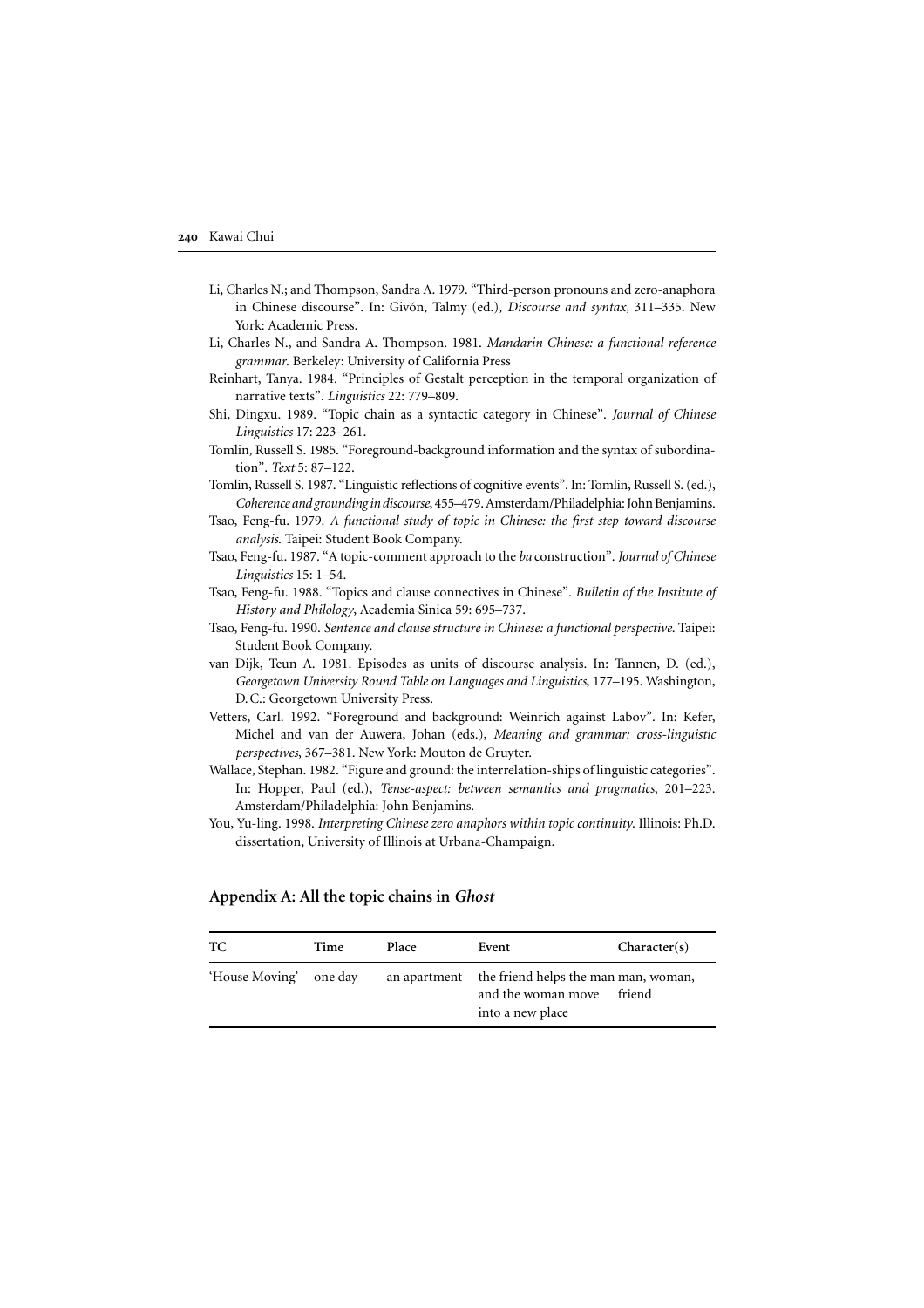- Li, Charles N.; and Thompson, Sandra A. 1979. "Third-person pronouns and zero-anaphora in Chinese discourse". In: Givón, Talmy (ed.), *Discourse and syntax*, 311–335. New York: Academic Press. **240** Kawai Chui<br>
Li, Charles N.; and Thompson, Sandra A. 197<br>
in Chinese discourse". In: Givón, Talm<br>
York: Academic Press.<br>
Li, Charles N., and Sandra A. Thompson. 1<br> *grammar*. Berkeley: University of Califor<br>
Reinhart, 240 Kawai Chui<br>
Li, Charles N.; and Thomp<br>
in Chinese discourse<br>
York: Academic Press<br>
Li, Charles N., and Sandr<br> *grammar*. Berkeley: U<br>
Reinhart, Tanya. 1984. "P<br>
narrative texts". *Lingy*<br>
Shi, Dingxu. 1989. "Topi<br> *Lin* **240** Kawai Chui <br>
Li, Charles N, and Thompson, Sandra A. 1979. "Third-person pronouns and zero-anaphora<br>
in Chinese discourse". In: Givón, Talmy (ed.), *Discourse and syntas*, 311–335. New<br>
York: Academic Press.<br>
Li, Cha Xavvai Chui<br>
1. Charles N.; and Thompson, Sandra A. 1979. "Third-person pronouns and zero-anaphora<br>
in Chinese discourse". In: Givón, Talmy (ed.), *Discourse and syntex*, 311–335. New<br>
1. Charles N., and Sandra A. Thompson **240** Kawai Chui<br>
11, Charles N.; and Thompson, Sandra A. 1979. "Third-person<br>
in Chinese dissours". In: Givón, Talmy (ed.), *Discours*<br>
16. Vork: Academic Press.<br>
16. Charles N., and Sandra A. Thompson. 1981. *Mandarin C* 
	- Li, Charles N., and Sandra A. Thompson. 1981. *Mandarin Chinese: a functional reference grammar*. Berkeley: University of California Press
	- Reinhart, Tanya. 1984. "Principles of Gestalt perception in the temporal organization of
	- Shi, Dingxu. 1989. "Topic chain as a syntactic category in Chinese". *Journal of Chinese Linguistics* 17: 223–261.
	- Tomlin, Russell S. 1985. "Foreground-background information and the syntax of subordina-
	- Tomlin, Russell S. 1987. "Linguistic reflections of cognitive events". In: Tomlin, Russell S. (ed.), *Coherenceandgroundingindiscourse*,455–479.Amsterdam/Philadelphia:JohnBenjamins.
	- Tsao, Feng-fu. 1979. *A functional study of topic in Chinese: the first step toward discourse analysis*. Taipei: Student Book Company.
	- Tsao, Feng-fu. 1987. "A topic-comment approach to the *ba* construction". *Journal of Chinese Linguistics* 15: 1–54.
	- Tsao, Feng-fu. 1988. "Topics and clause connectives in Chinese". *Bulletin of the Institute of History and Philology*, Academia Sinica 59: 695–737.
	- Tsao, Feng-fu. 1990. *Sentence and clause structure in Chinese: a functional perspective*. Taipei: Student Book Company.
	- van Dijk, Teun A. 1981. Episodes as units of discourse analysis. In: Tannen, D. (ed.), *Georgetown University Round Table on Languages and Linguistics*, 177–195. Washington, D.C.: Georgetown University Press.
	- Vetters, Carl. 1992. "Foreground and background: Weinrich against Labov". In: Kefer, *perspectives*, 367–381. New York: Mouton de Gruyter.
	- Wallace, Stephan. 1982. "Figure and ground: the interrelation-ships of linguistic categories". Amsterdam/Philadelphia: John Benjamins.
	- You, Yu-ling. 1998. *Interpreting Chinese zero anaphors within topic continuity*. Illinois: Ph.D.

#### Appendix A: All the topic chains in *Ghost*

| TС                     | Time | Place | Event                                                                                       | Character(s) |
|------------------------|------|-------|---------------------------------------------------------------------------------------------|--------------|
| 'House Moving' one day |      |       | an apartment the friend helps the man man, woman,<br>and the woman move<br>into a new place | friend       |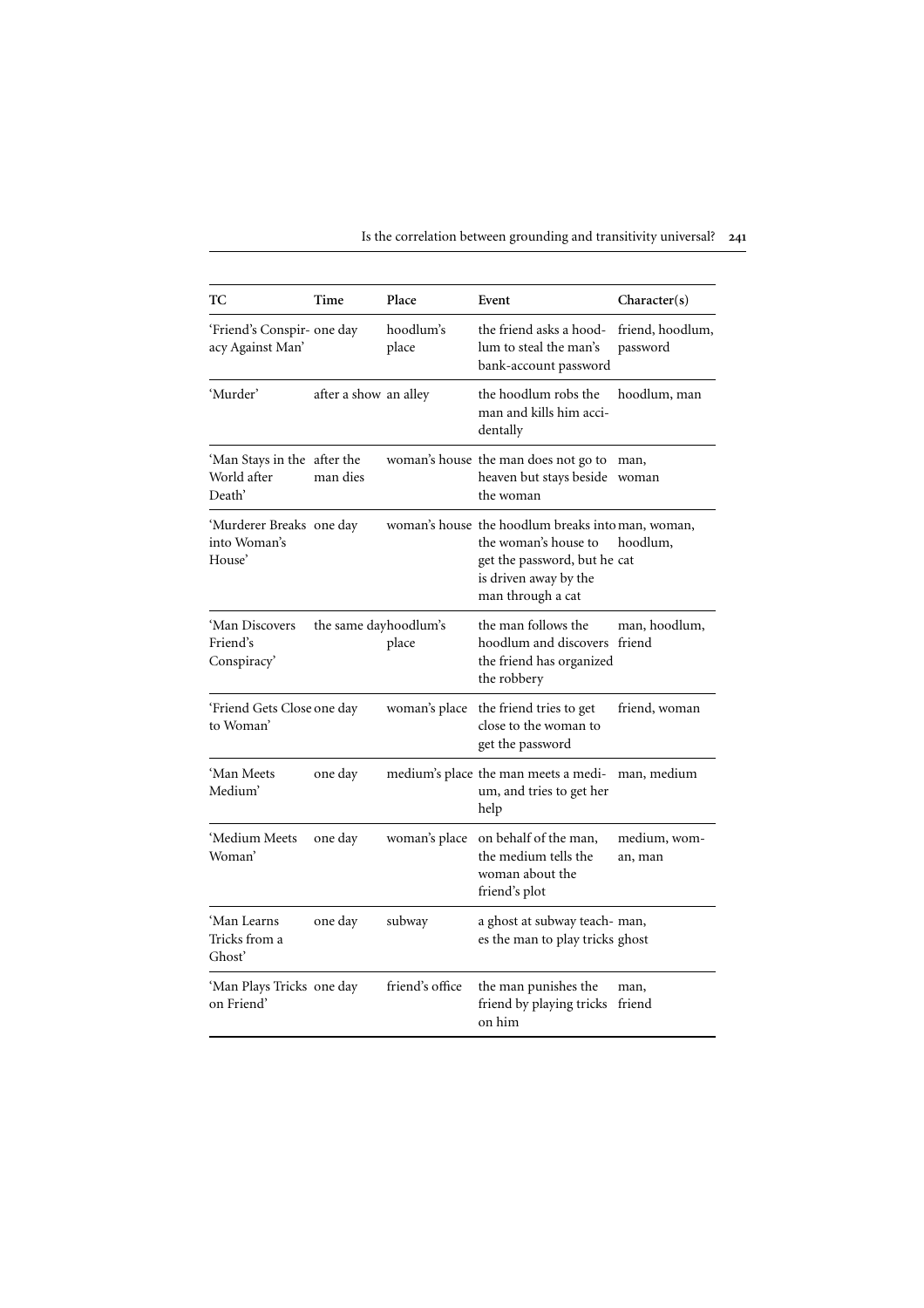| TС                                                   | Time                  | Place              | Event                                                                                                                                                   | Character(s)                 |
|------------------------------------------------------|-----------------------|--------------------|---------------------------------------------------------------------------------------------------------------------------------------------------------|------------------------------|
| 'Friend's Conspir- one day<br>acy Against Man'       |                       | hoodlum's<br>place | the friend asks a hood-<br>lum to steal the man's<br>bank-account password                                                                              | friend, hoodlum,<br>password |
| 'Murder'                                             | after a show an alley |                    | the hoodlum robs the<br>man and kills him acci-<br>dentally                                                                                             | hoodlum, man                 |
| 'Man Stays in the after the<br>World after<br>Death' | man dies              |                    | woman's house the man does not go to<br>heaven but stays beside woman<br>the woman                                                                      | man,                         |
| 'Murderer Breaks one day<br>into Woman's<br>House'   |                       |                    | woman's house the hoodlum breaks into man, woman,<br>the woman's house to<br>get the password, but he cat<br>is driven away by the<br>man through a cat | hoodlum,                     |
| 'Man Discovers<br>Friend's<br>Conspiracy'            | the same dayhoodlum's | place              | the man follows the<br>hoodlum and discovers friend<br>the friend has organized<br>the robbery                                                          | man, hoodlum,                |
| 'Friend Gets Close one day<br>to Woman'              |                       | woman's place      | the friend tries to get<br>close to the woman to<br>get the password                                                                                    | friend, woman                |
| 'Man Meets<br>Medium'                                | one day               |                    | medium's place the man meets a medi-<br>um, and tries to get her<br>help                                                                                | man, medium                  |
| 'Medium Meets<br>Woman'                              | one day               | woman's place      | on behalf of the man,<br>the medium tells the<br>woman about the<br>friend's plot                                                                       | medium, wom-<br>an, man      |
| 'Man Learns<br>Tricks from a<br>Ghost'               | one day               | subway             | a ghost at subway teach- man,<br>es the man to play tricks ghost                                                                                        |                              |
| 'Man Plays Tricks one day<br>on Friend'              |                       | friend's office    | the man punishes the<br>friend by playing tricks<br>on him                                                                                              | man,<br>friend               |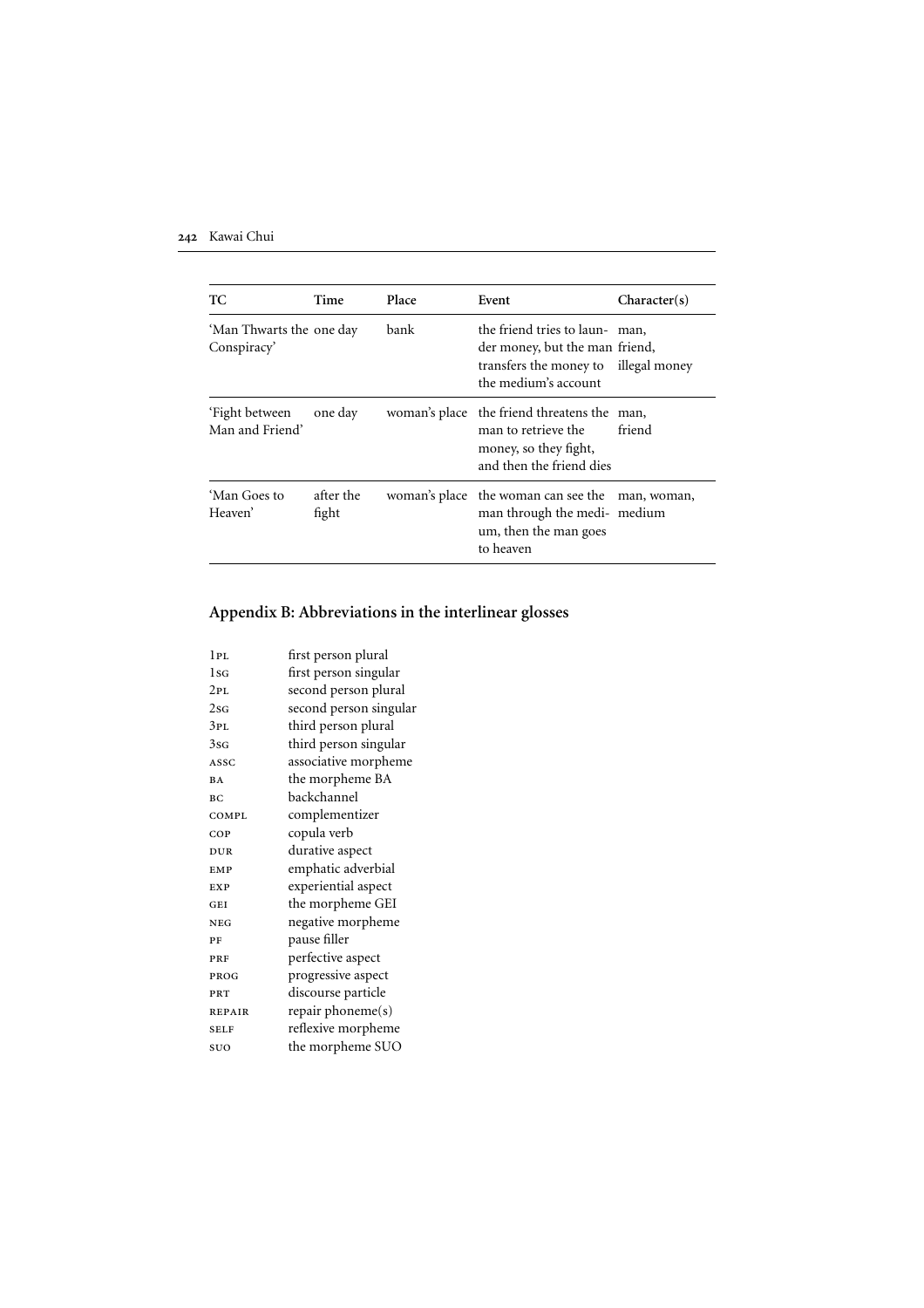| TC                                      | Time               | Place         | Event                                                                                                                            | Character(s) |
|-----------------------------------------|--------------------|---------------|----------------------------------------------------------------------------------------------------------------------------------|--------------|
| 'Man Thwarts the one day<br>Conspiracy' |                    | bank          | the friend tries to laun- man,<br>der money, but the man friend,<br>transfers the money to illegal money<br>the medium's account |              |
| 'Fight between<br>Man and Friend'       | one day            |               | woman's place the friend threatens the man,<br>man to retrieve the<br>money, so they fight,<br>and then the friend dies          | friend       |
| 'Man Goes to<br>Heaven'                 | after the<br>fight | woman's place | the woman can see the<br>man through the medi- medium<br>um, then the man goes<br>to heaven                                      | man, woman,  |

# Appendix B: Abbreviations in the interlinear glosses

| 1PI.          | first person plural    |
|---------------|------------------------|
| 1sG           | first person singular  |
| 2PL           | second person plural   |
| 2sG           | second person singular |
| 3PL           | third person plural    |
| 3sG           | third person singular  |
| <b>ASSC</b>   | associative morpheme   |
| <b>BA</b>     | the morpheme BA        |
| BC.           | backchannel            |
| COMPL         | complementizer         |
| COP           | copula verb            |
| DUR           | durative aspect        |
| <b>EMP</b>    | emphatic adverbial     |
| EXP           | experiential aspect    |
| GEI           | the morpheme GEI       |
| <b>NEG</b>    | negative morpheme      |
| PF            | pause filler           |
| PRF           | perfective aspect      |
| PROG          | progressive aspect     |
| PRT           | discourse particle     |
| <b>REPAIR</b> | repair phoneme(s)      |
| <b>SELF</b>   | reflexive morpheme     |
| SUO           | the morpheme SUO       |
|               |                        |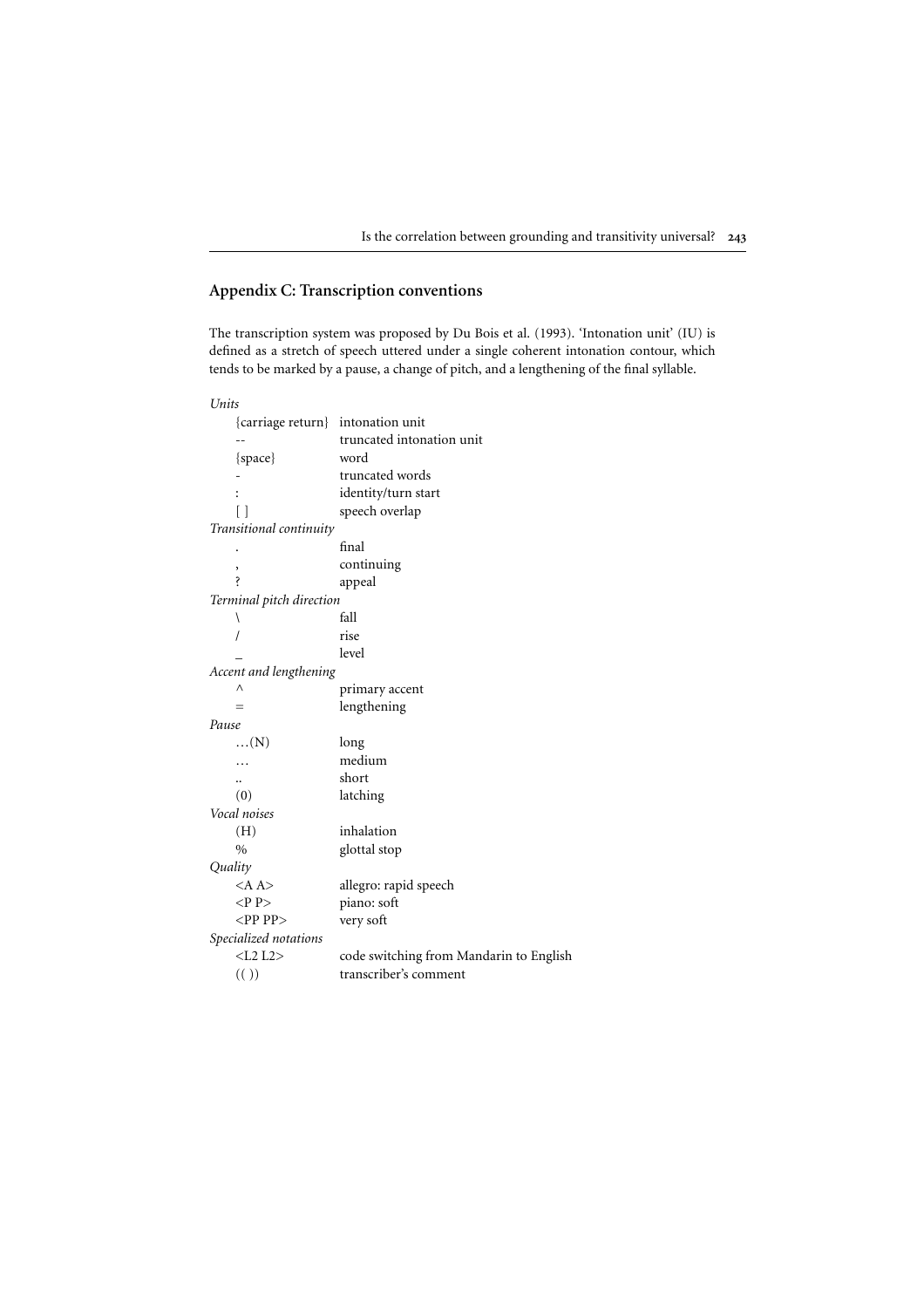# Appendix C: Transcription conventions

The transcription system was proposed by Du Bois et al. (1993). 'Intonation unit' (IU) is defined as a stretch of speech uttered under a single coherent intonation contour, which tends to be marked by a pause, a change of pitch, and a lengthening of the final syllable.

*Units*

| {carriage return}        | intonation unit                         |
|--------------------------|-----------------------------------------|
|                          | truncated intonation unit               |
| {space}                  | word                                    |
|                          | truncated words                         |
|                          | identity/turn start                     |
| Ħ                        | speech overlap                          |
| Transitional continuity  |                                         |
|                          | final                                   |
| $\overline{ }$           | continuing                              |
| ζ                        | appeal                                  |
| Terminal pitch direction |                                         |
| Ι                        | fall                                    |
| 1                        | rise                                    |
|                          | level                                   |
| Accent and lengthening   |                                         |
| Λ                        | primary accent                          |
| $=$                      | lengthening                             |
| Pause                    |                                         |
| (N)                      | long                                    |
| .                        | medium                                  |
|                          | short                                   |
| (0)                      | latching                                |
| Vocal noises             |                                         |
| (H)                      | inhalation                              |
| $\frac{0}{0}$            | glottal stop                            |
| Quality                  |                                         |
| $<$ A $A$                | allegro: rapid speech                   |
| < P P                    | piano: soft                             |
| $<$ PP PP $>$            | very soft                               |
| Specialized notations    |                                         |
| $<$ L2 L2 $>$            | code switching from Mandarin to English |
| (())                     | transcriber's comment                   |
|                          |                                         |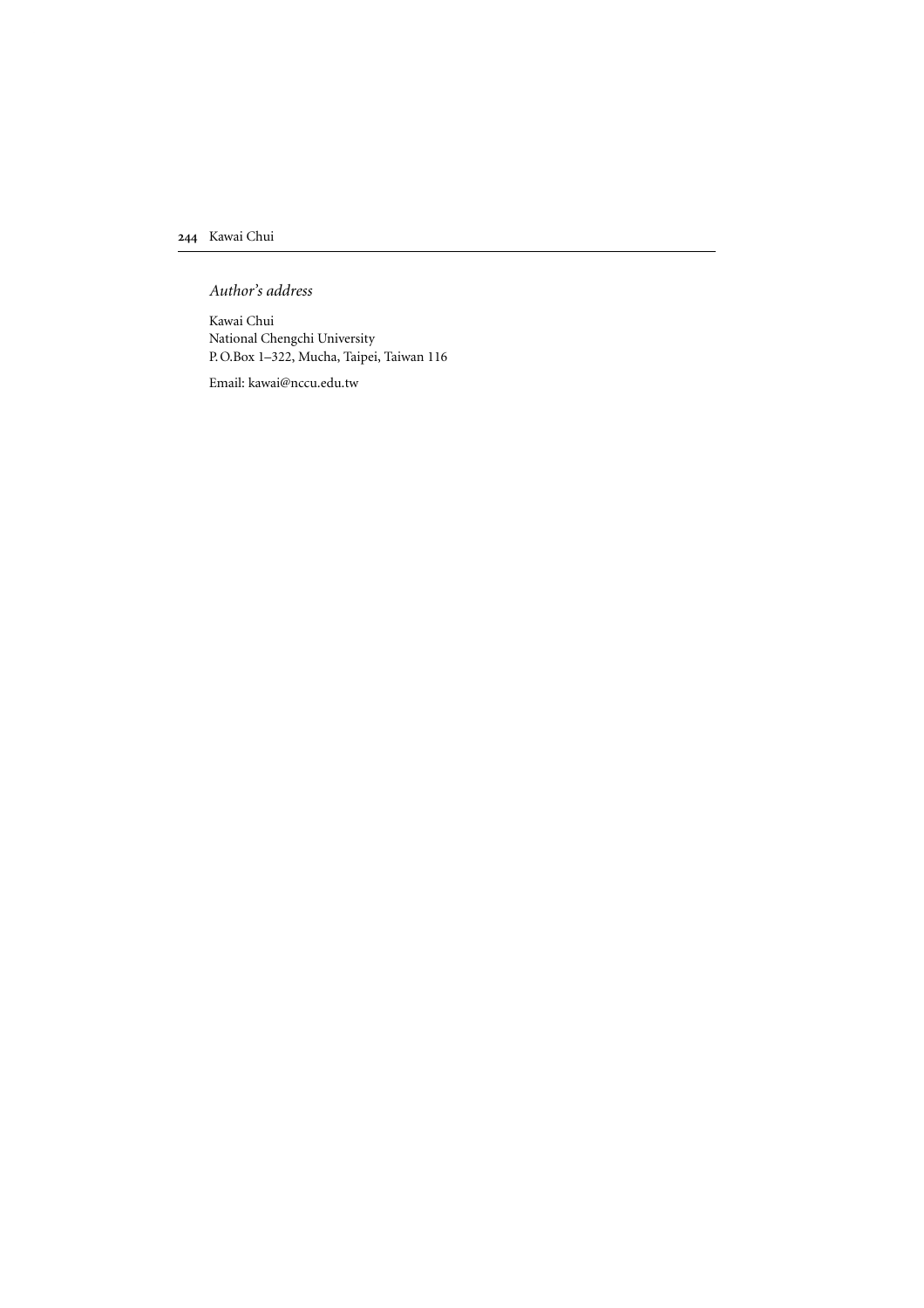# *Author's address*

Kawai Chui National Chengchi University P.O.Box 1–322, Mucha, Taipei, Taiwan 116

[Email: kawai@nccu.edu.tw](mailto:kawai@nccu.edu.tw)